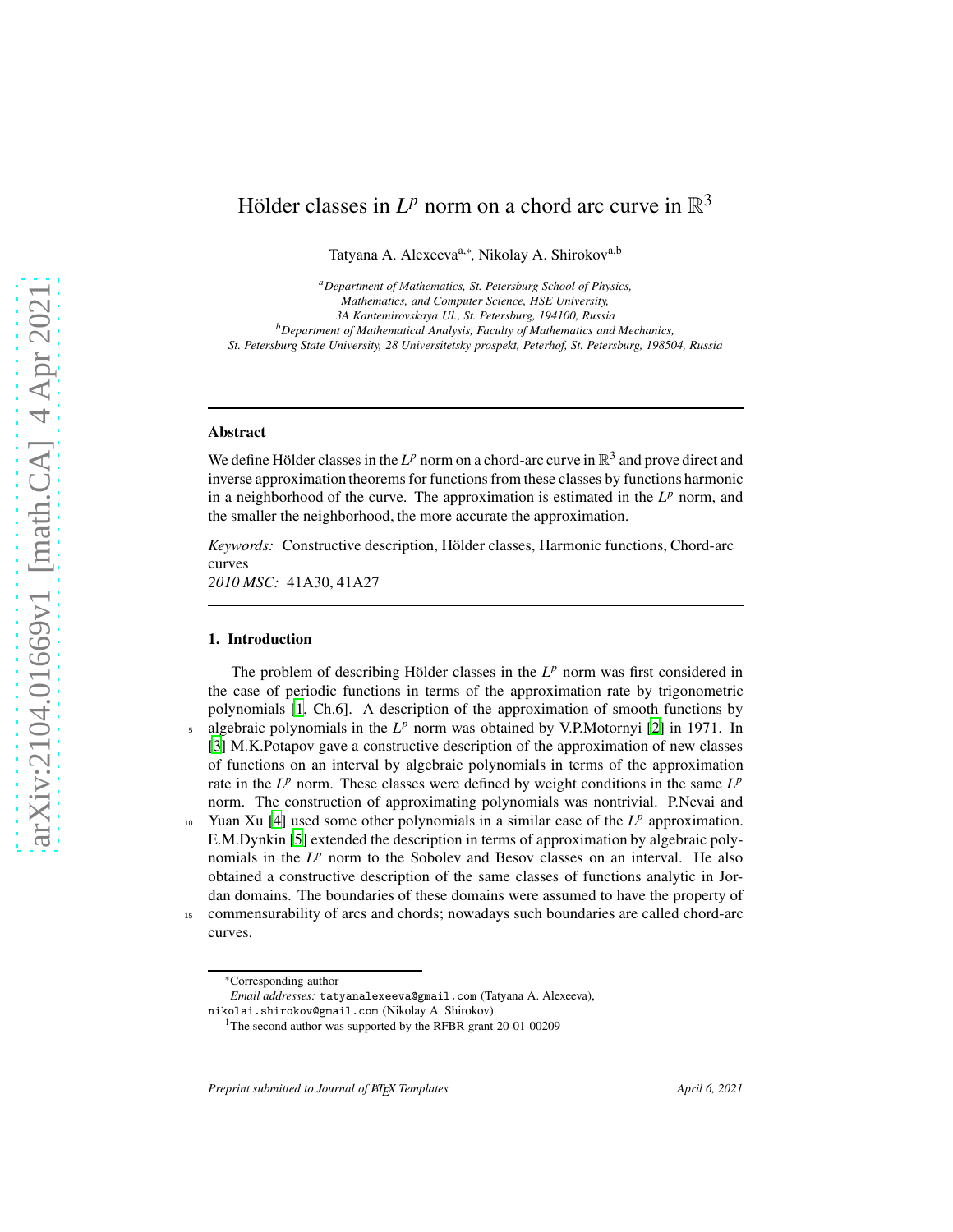# Hölder classes in  $L^p$  norm on a chord arc curve in  $\mathbb{R}^3$

Tatyana A. Alexeeva<sup>a,∗</sup>, Nikolay A. Shirokov<sup>a,b</sup>

*<sup>a</sup>Department of Mathematics, St. Petersburg School of Physics, Mathematics, and Computer Science, HSE University, 3A Kantemirovskaya Ul., St. Petersburg, 194100, Russia <sup>b</sup>Department of Mathematical Analysis, Faculty of Mathematics and Mechanics, St. Petersburg State University, 28 Universitetsky prospekt, Peterhof, St. Petersburg, 198504, Russia*

## Abstract

We define Hölder classes in the  $L^p$  norm on a chord-arc curve in  $\mathbb{R}^3$  and prove direct and inverse approximation theorems for functions from these classes by functions harmonic in a neighborhood of the curve. The approximation is estimated in the  $L^p$  norm, and the smaller the neighborhood, the more accurate the approximation.

*Keywords:* Constructive description, Hölder classes, Harmonic functions, Chord-arc curves

*2010 MSC:* 41A30, 41A27

#### 1. Introduction

The problem of describing Hölder classes in the  $L^p$  norm was first considered in the case of periodic functions in terms of the approximation rate by trigonometric polynomials [\[1](#page-17-0), Ch.6]. A description of the approximation of smooth functions by algebraic polynomials in the  $L^p$  norm was obtained by V.P.Motornyi [\[2\]](#page-17-1) in 1971. In [\[3](#page-17-2)] M.K.Potapov gave a constructive description of the approximation of new classes of functions on an interval by algebraic polynomials in terms of the approximation rate in the  $L^p$  norm. These classes were defined by weight conditions in the same  $L^p$ norm. The construction of approximating polynomials was nontrivial. P.Nevai and  $_{10}$  Yuan Xu [\[4\]](#page-17-3) used some other polynomials in a similar case of the  $L^p$  approximation.

E.M.Dynkin [\[5](#page-17-4)] extended the description in terms of approximation by algebraic polynomials in the  $L^p$  norm to the Sobolev and Besov classes on an interval. He also obtained a constructive description of the same classes of functions analytic in Jordan domains. The boundaries of these domains were assumed to have the property of <sup>15</sup> commensurability of arcs and chords; nowadays such boundaries are called chord-arc

curves.

<sup>∗</sup>Corresponding author

*Email addresses:* tatyanalexeeva@gmail.com (Tatyana A. Alexeeva), nikolai.shirokov@gmail.com (Nikolay A. Shirokov)

<sup>&</sup>lt;sup>1</sup>The second author was supported by the RFBR grant 20-01-00209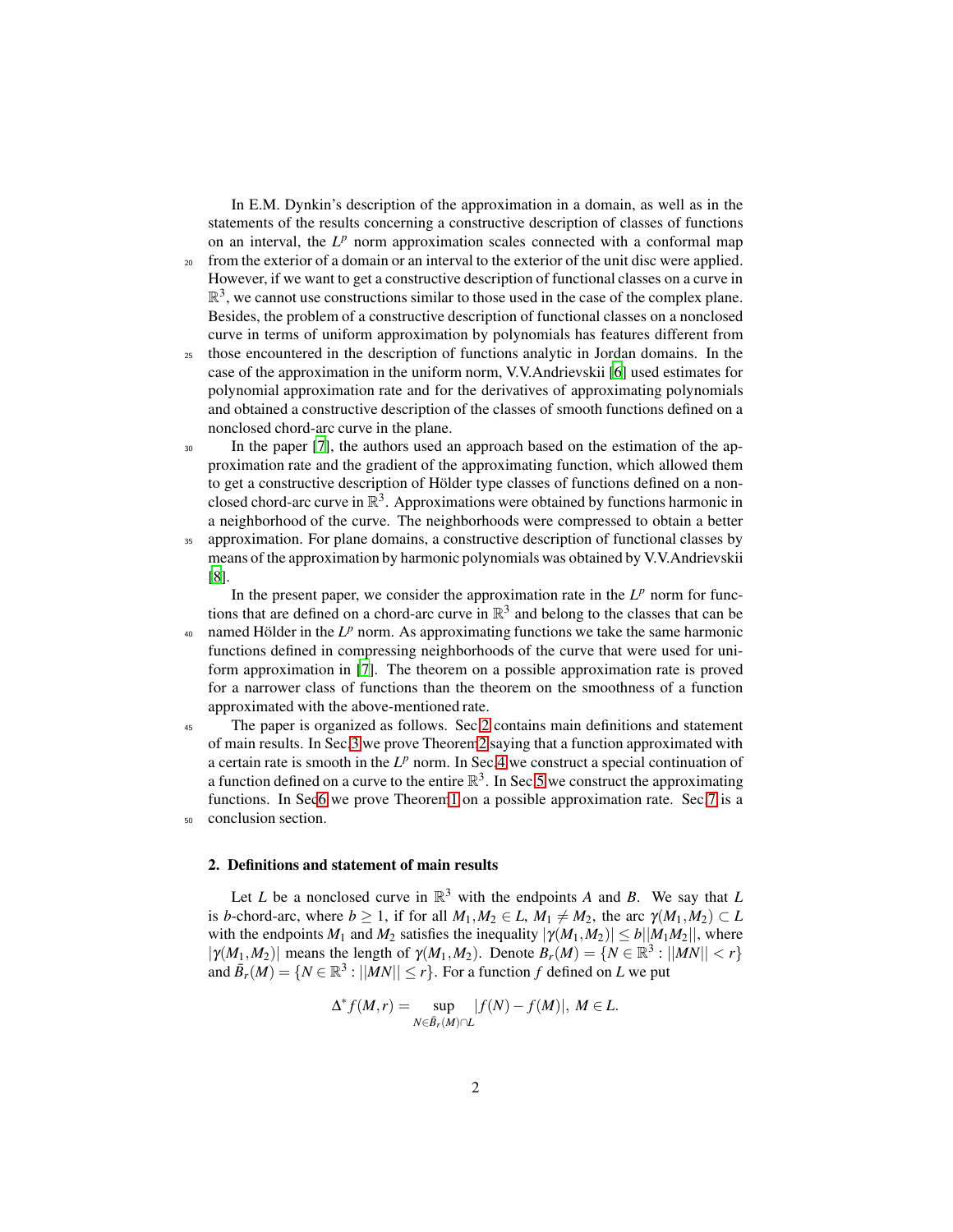In E.M. Dynkin's description of the approximation in a domain, as well as in the statements of the results concerning a constructive description of classes of functions on an interval, the  $L^p$  norm approximation scales connected with a conformal map

- <sup>20</sup> from the exterior of a domain or an interval to the exterior of the unit disc were applied. However, if we want to get a constructive description of functional classes on a curve in  $\mathbb{R}^3$ , we cannot use constructions similar to those used in the case of the complex plane. Besides, the problem of a constructive description of functional classes on a nonclosed curve in terms of uniform approximation by polynomials has features different from
- <sup>25</sup> those encountered in the description of functions analytic in Jordan domains. In the case of the approximation in the uniform norm, V.V.Andrievskii [\[6\]](#page-17-5) used estimates for polynomial approximation rate and for the derivatives of approximating polynomials and obtained a constructive description of the classes of smooth functions defined on a nonclosed chord-arc curve in the plane.
- <sup>30</sup> In the paper [\[7\]](#page-17-6), the authors used an approach based on the estimation of the approximation rate and the gradient of the approximating function, which allowed them to get a constructive description of Hölder type classes of functions defined on a nonclosed chord-arc curve in  $\mathbb{R}^3$ . Approximations were obtained by functions harmonic in a neighborhood of the curve. The neighborhoods were compressed to obtain a better
- <sup>35</sup> approximation. For plane domains, a constructive description of functional classes by means of the approximation by harmonic polynomials was obtained by V.V.Andrievskii [\[8](#page-17-7)].

In the present paper, we consider the approximation rate in the  $L^p$  norm for functions that are defined on a chord-arc curve in  $\mathbb{R}^3$  and belong to the classes that can be  $40$  named Hölder in the  $L^p$  norm. As approximating functions we take the same harmonic

- functions defined in compressing neighborhoods of the curve that were used for uniform approximation in [\[7](#page-17-6)]. The theorem on a possible approximation rate is proved for a narrower class of functions than the theorem on the smoothness of a function approximated with the above-mentioned rate.
- <sup>45</sup> The paper is organized as follows. Sec[.2](#page-1-0) contains main definitions and statement of main results. In Sec[.3](#page-3-0) we prove Theore[m2](#page-2-0) saying that a function approximated with a certain rate is smooth in the  $L^p$  norm. In Sec[.4](#page-3-1) we construct a special continuation of a function defined on a curve to the entire  $\mathbb{R}^3$ . In Sec[.5](#page-7-0) we construct the approximating functions. In Se[c6](#page-9-0) we prove Theore[m1](#page-2-1) on a possible approximation rate. Sec[.7](#page-16-0) is a conclusion section.

#### <span id="page-1-0"></span>2. Definitions and statement of main results

Let *L* be a nonclosed curve in  $\mathbb{R}^3$  with the endpoints *A* and *B*. We say that *L* is *b*-chord-arc, where  $b \ge 1$ , if for all  $M_1, M_2 \in L$ ,  $M_1 \ne M_2$ , the arc  $\gamma(M_1, M_2) \subset L$ with the endpoints  $M_1$  and  $M_2$  satisfies the inequality  $|\gamma(M_1,M_2)| \le b ||M_1M_2||$ , where  $|\gamma(M_1, M_2)|$  means the length of  $\gamma(M_1, M_2)$ . Denote  $B_r(M) = \{ N \in \mathbb{R}^3 : ||MN|| < r \}$ and  $\bar{B}_r(M) = \{ N \in \mathbb{R}^3 : ||MN|| \leq r \}$ . For a function *f* defined on *L* we put

$$
\Delta^* f(M,r) = \sup_{N \in \bar{B}_r(M) \cap L} |f(N) - f(M)|, M \in L.
$$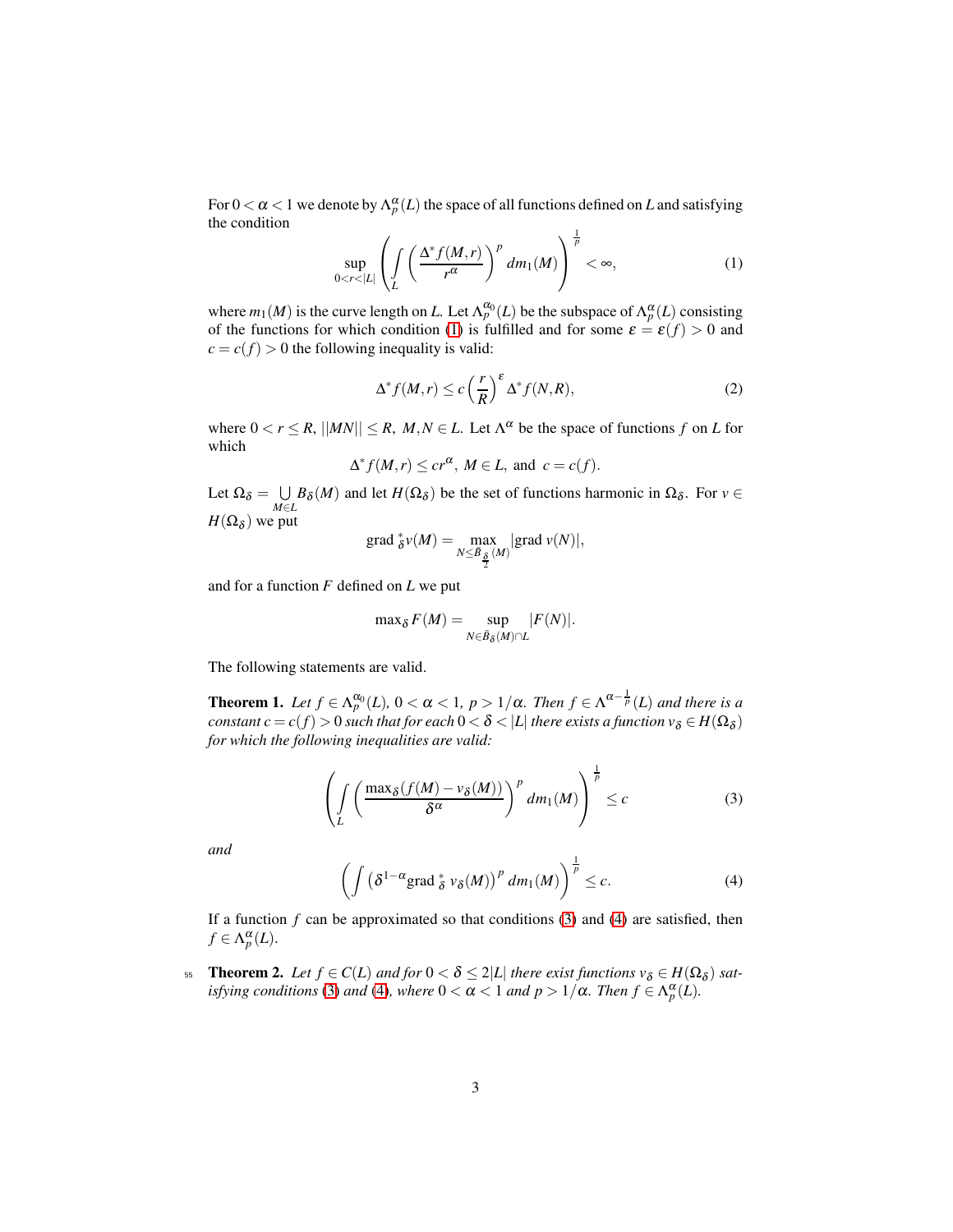For  $0 < \alpha < 1$  we denote by  $\Lambda_p^{\alpha}(L)$  the space of all functions defined on  $L$  and satisfying the condition 1

<span id="page-2-2"></span>
$$
\sup_{0 < r < |L|} \left( \int\limits_L \left( \frac{\Delta^* f(M, r)}{r^{\alpha}} \right)^p dm_1(M) \right)^{\frac{1}{p}} < \infty,\tag{1}
$$

where  $m_1(M)$  is the curve length on *L*. Let  $\Lambda_p^{\alpha_0}(L)$  be the subspace of  $\Lambda_p^{\alpha}(L)$  consisting of the functions for which condition [\(1\)](#page-2-2) is fulfilled and for some  $\varepsilon = \varepsilon(f) > 0$  and  $c = c(f) > 0$  the following inequality is valid:

<span id="page-2-5"></span>
$$
\Delta^* f(M, r) \le c \left(\frac{r}{R}\right)^{\varepsilon} \Delta^* f(N, R), \tag{2}
$$

where  $0 < r \le R$ ,  $||MN|| \le R$ ,  $M, N \in L$ . Let  $\Lambda^{\alpha}$  be the space of functions f on L for which

$$
\Delta^* f(M, r) \le c r^{\alpha}, M \in L, \text{ and } c = c(f).
$$

Let  $\Omega_{\delta} = \cup$ *M*∈*L*  $B_{\delta}(M)$  and let  $H(\Omega_{\delta})$  be the set of functions harmonic in  $\Omega_{\delta}$ . For  $v \in$  $H(\Omega_{\delta})$  we put

grad 
$$
\frac{\ast}{\delta}v(M) = \max_{N \leq \overline{B}_{\frac{\delta}{2}}(M)} |\text{grad } v(N)|
$$
,

and for a function *F* defined on *L* we put

<span id="page-2-3"></span><span id="page-2-1"></span>
$$
\max_{\delta} F(M) = \sup_{N \in \bar{B}_{\delta}(M) \cap L} |F(N)|.
$$

The following statements are valid.

**Theorem 1.** Let  $f \in \Lambda_p^{\alpha_0}(L)$ ,  $0 < \alpha < 1$ ,  $p > 1/\alpha$ . Then  $f \in \Lambda^{\alpha - \frac{1}{p}}(L)$  and there is a  $constant$   $c$   $=$   $c(f)$   $>$   $0$  such that for each  $0$   $<$   $\delta$   $<$   $|L|$  there exists a function  $v_{\delta}$   $\in$   $H(\Omega_{\delta})$ *for which the following inequalities are valid:*

$$
\left(\int_{L} \left(\frac{\max_{\delta} (f(M) - \nu_{\delta}(M))}{\delta^{\alpha}}\right)^{p} dm_{1}(M)\right)^{\frac{1}{p}} \leq c \tag{3}
$$

<span id="page-2-4"></span>*and*

$$
\left(\int \left(\delta^{1-\alpha}\mathrm{grad}\,_{\delta}^* \, \nu_{\delta}(M)\right)^p \, dm_1(M)\right)^{\frac{1}{p}} \leq c. \tag{4}
$$

<span id="page-2-0"></span>If a function  $f$  can be approximated so that conditions [\(3\)](#page-2-3) and [\(4\)](#page-2-4) are satisfied, then  $f \in \Lambda_p^{\alpha}(L)$ .

**55 Theorem 2.** Let  $f \in C(L)$  and for  $0 < \delta \leq 2|L|$  there exist functions  $v_{\delta} \in H(\Omega_{\delta})$  sat*isfying conditions* [\(3\)](#page-2-3) *and* [\(4\)](#page-2-4)*, where*  $0 < \alpha < 1$  *and*  $p > 1/\alpha$ *. Then*  $f \in \Lambda_p^{\alpha}(L)$ *.*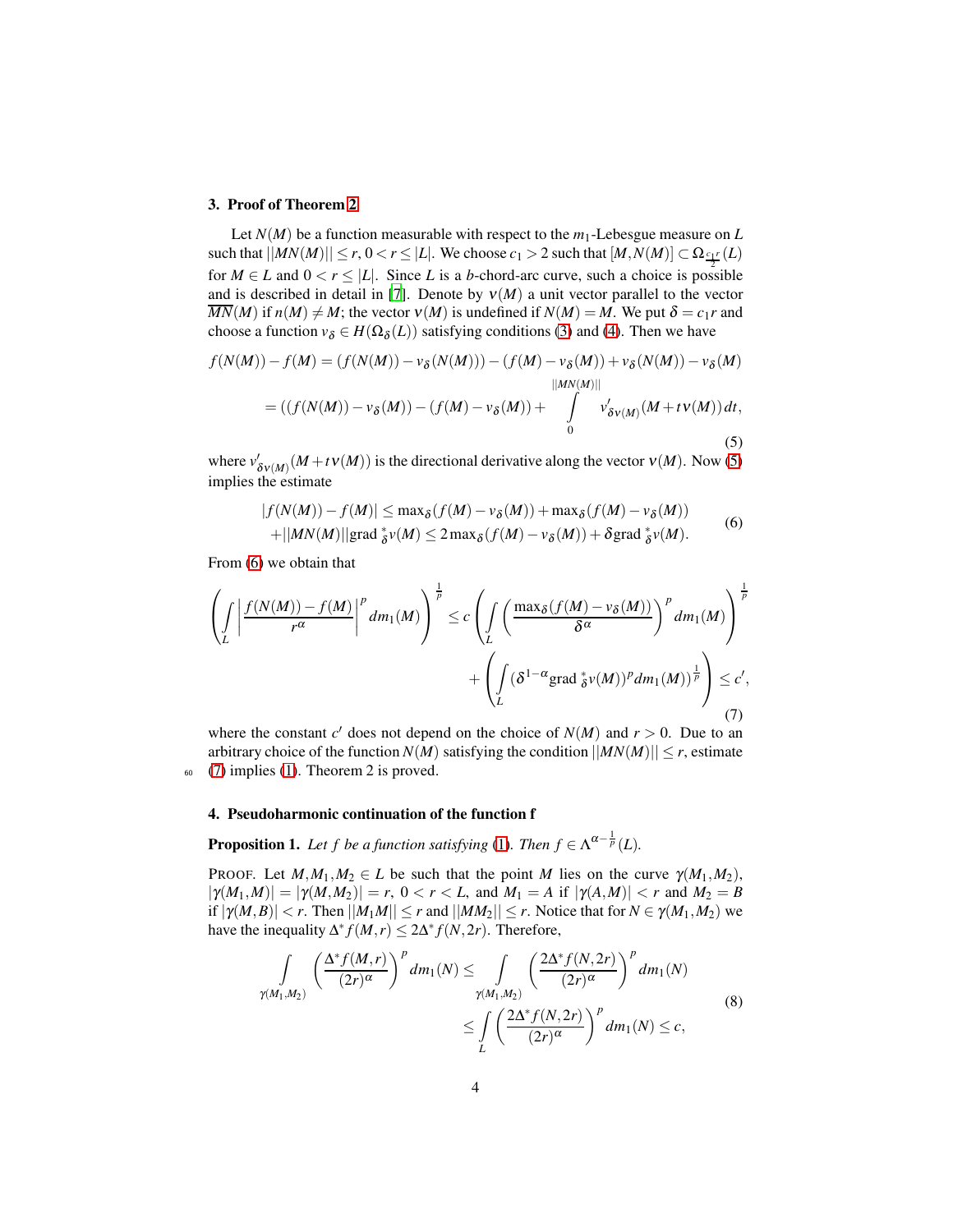#### <span id="page-3-0"></span>3. Proof of Theorem [2](#page-2-5)

Let  $N(M)$  be a function measurable with respect to the  $m_1$ -Lebesgue measure on *L*  $|\mathcal{M}\times\mathcal{M}| \leq r, 0 < r \leq |L|.$  We choose  $c_1 > 2$  such that  $[M, N(M)] \subset \Omega_{\frac{c_1 r}{L}}(L)$ for  $M \in L$  and  $0 < r \leq |L|$ . Since *L* is a *b*-chord-arc curve, such a choice is possible and is described in detail in [\[7\]](#page-17-6). Denote by  $v(M)$  a unit vector parallel to the vector  $\overline{MN}(M)$  if  $n(M) \neq M$ ; the vector  $V(M)$  is undefined if  $N(M) = M$ . We put  $\delta = c_1 r$  and choose a function  $v_{\delta} \in H(\Omega_{\delta}(L))$  satisfying conditions [\(3\)](#page-2-3) and [\(4\)](#page-2-4). Then we have

$$
f(N(M)) - f(M) = (f(N(M)) - v_{\delta}(N(M))) - (f(M) - v_{\delta}(M)) + v_{\delta}(N(M)) - v_{\delta}(M)
$$
  

$$
= ((f(N(M)) - v_{\delta}(M)) - (f(M) - v_{\delta}(M)) + \int_{0}^{||MN(M)||} v'_{\delta V(M)}(M + tV(M)) dt,
$$
  
(5)

where  $v'_{\delta V(M)}(M + tV(M))$  is the directional derivative along the vector  $V(M)$ . Now [\(5\)](#page-3-2) implies the estimate

<span id="page-3-4"></span><span id="page-3-3"></span><span id="page-3-2"></span>
$$
|f(N(M)) - f(M)| \le \max_{\delta} (f(M) - v_{\delta}(M)) + \max_{\delta} (f(M) - v_{\delta}(M))
$$
  
+||MN(M)||grad  $\frac{\delta}{\delta}v(M) \le 2 \max_{\delta} (f(M) - v_{\delta}(M)) + \delta \text{grad } \frac{\delta}{\delta}v(M).$  (6)

From [\(6\)](#page-3-3) we obtain that

$$
\left(\int_{L} \left| \frac{f(N(M)) - f(M)}{r^{\alpha}} \right|^{p} dm_{1}(M) \right)^{\frac{1}{p}} \leq c \left(\int_{L} \left( \frac{\max_{\delta} (f(M) - v_{\delta}(M))}{\delta^{\alpha}} \right)^{p} dm_{1}(M) \right)^{\frac{1}{p}} + \left(\int_{L} (\delta^{1-\alpha} \operatorname{grad}_{\delta}^{*} v(M))^{p} dm_{1}(M))^{\frac{1}{p}} \right) \leq c',
$$
\n(7)

where the constant  $c'$  does not depend on the choice of  $N(M)$  and  $r > 0$ . Due to an arbitrary choice of the function  $N(M)$  satisfying the condition  $||MN(M)|| \leq r$ , estimate <sup>60</sup> [\(7\)](#page-3-4) implies [\(1\)](#page-2-2). Theorem 2 is proved.

## <span id="page-3-6"></span><span id="page-3-1"></span>4. Pseudoharmonic continuation of the function f

**Proposition 1.** Let f be a function satisfying [\(1\)](#page-2-2). Then  $f \in \Lambda^{\alpha - \frac{1}{p}}(L)$ .

PROOF. Let  $M_1, M_2 \in L$  be such that the point *M* lies on the curve  $\gamma(M_1, M_2)$ ,  $|\gamma(M_1,M)| = |\gamma(M,M_2)| = r$ ,  $0 < r < L$ , and  $M_1 = A$  if  $|\gamma(A,M)| < r$  and  $M_2 = B$ if  $|\gamma(M, B)| < r$ . Then  $||M_1M|| \leq r$  and  $||MM_2|| \leq r$ . Notice that for  $N \in \gamma(M_1, M_2)$  we have the inequality  $\Delta^* f(M,r) \leq 2\Delta^* f(N,2r)$ . Therefore,

<span id="page-3-5"></span>
$$
\int_{\gamma(M_1,M_2)} \left(\frac{\Delta^* f(M,r)}{(2r)^\alpha}\right)^p dm_1(N) \leq \int_{\gamma(M_1,M_2)} \left(\frac{2\Delta^* f(N,2r)}{(2r)^\alpha}\right)^p dm_1(N)
$$
\n
$$
\leq \int_{L} \left(\frac{2\Delta^* f(N,2r)}{(2r)^\alpha}\right)^p dm_1(N) \leq c,
$$
\n(8)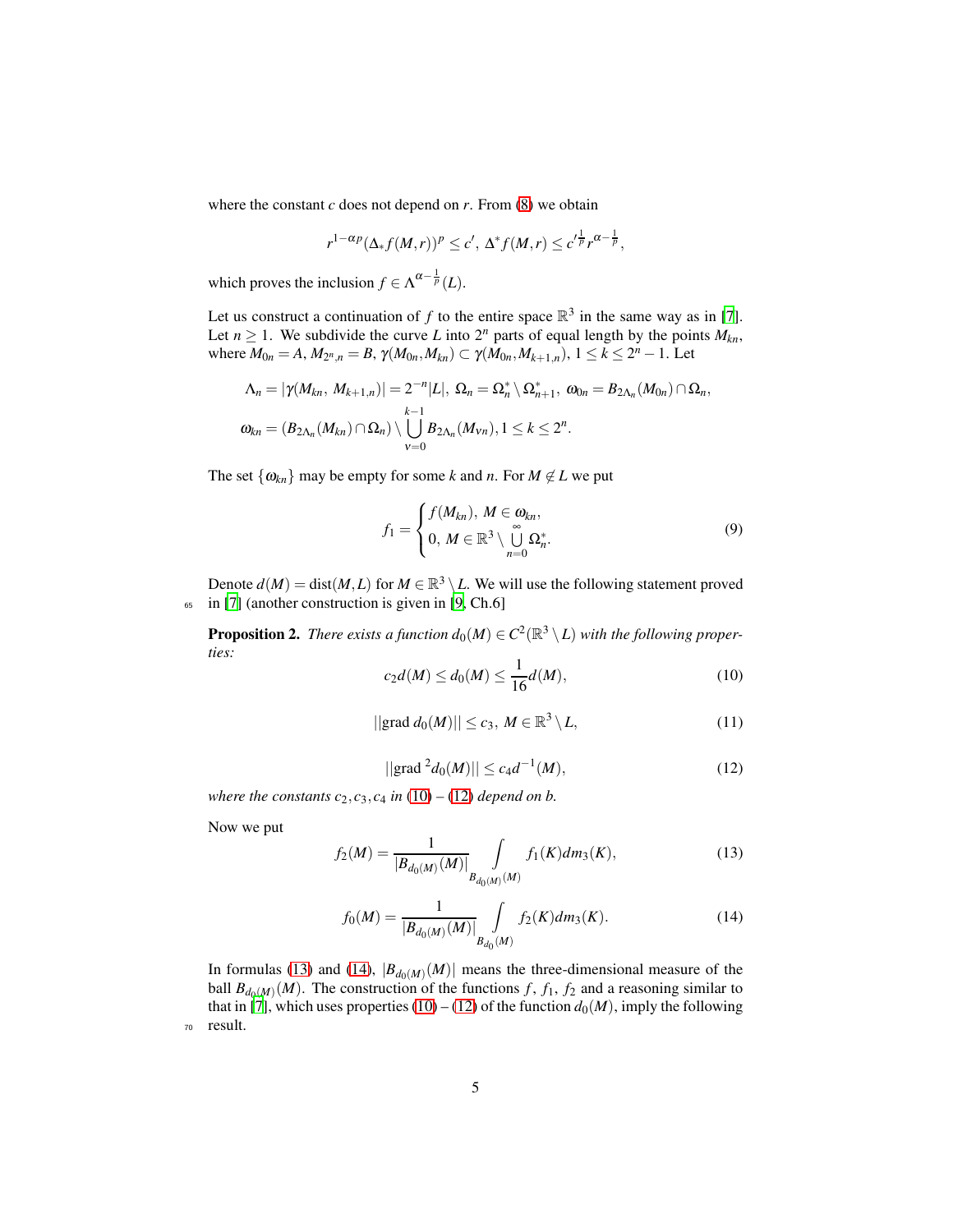where the constant  $c$  does not depend on  $r$ . From  $(8)$  we obtain

$$
r^{1-\alpha p}(\Delta_* f(M,r))^p \leq c', \, \Delta^* f(M,r) \leq c'^{\frac{1}{p}} r^{\alpha-\frac{1}{p}},
$$

which proves the inclusion  $f \in \Lambda^{\alpha - \frac{1}{p}}(L)$ .

Let us construct a continuation of  $f$  to the entire space  $\mathbb{R}^3$  in the same way as in [\[7\]](#page-17-6). Let  $n \geq 1$ . We subdivide the curve *L* into  $2^n$  parts of equal length by the points  $M_{kn}$ , where  $M_{0n} = A$ ,  $M_{2^n,n} = B$ ,  $\gamma(M_{0n}, M_{kn}) \subset \gamma(M_{0n}, M_{k+1,n})$ ,  $1 \leq k \leq 2^n - 1$ . Let

$$
\Lambda_n = |\gamma(M_{kn}, M_{k+1,n})| = 2^{-n}|L|, \ \Omega_n = \Omega_n^* \setminus \Omega_{n+1}^*, \ \omega_{0n} = B_{2\Lambda_n}(M_{0n}) \cap \Omega_n,
$$
  

$$
\omega_{kn} = (B_{2\Lambda_n}(M_{kn}) \cap \Omega_n) \setminus \bigcup_{v=0}^{k-1} B_{2\Lambda_n}(M_{vn}), 1 \leq k \leq 2^n.
$$

The set  $\{\omega_{kn}\}\$  may be empty for some *k* and *n*. For  $M \notin L$  we put

$$
f_1 = \begin{cases} f(M_{kn}), & M \in \omega_{kn}, \\ 0, & M \in \mathbb{R}^3 \setminus \bigcup_{n=0}^{\infty} \Omega_n^* . \end{cases} \tag{9}
$$

Denote  $d(M) = dist(M, L)$  for  $M \in \mathbb{R}^3 \setminus L$ . We will use the following statement proved <sup>65</sup> in [\[7](#page-17-6)] (another construction is given in [\[9,](#page-17-8) Ch.6]

<span id="page-4-0"></span>**Proposition 2.** There exists a function  $d_0(M) \in C^2(\mathbb{R}^3 \setminus L)$  with the following proper*ties:*

$$
c_2 d(M) \le d_0(M) \le \frac{1}{16} d(M),\tag{10}
$$

$$
||\text{grad } d_0(M)|| \le c_3, M \in \mathbb{R}^3 \setminus L,\tag{11}
$$

$$
||\text{grad}^2 d_0(M)|| \le c_4 d^{-1}(M),\tag{12}
$$

<span id="page-4-1"></span>*where the constants*  $c_2$ ,  $c_3$ ,  $c_4$  *in* [\(10\)](#page-4-0) – [\(12\)](#page-4-1) *depend on b.* 

<span id="page-4-3"></span>Now we put

<span id="page-4-2"></span>
$$
f_2(M) = \frac{1}{|B_{d_0(M)}(M)|} \int_{B_{d_0(M)}(M)} f_1(K) dm_3(K), \tag{13}
$$

$$
f_0(M) = \frac{1}{|B_{d_0(M)}(M)|} \int_{B_{d_0}(M)} f_2(K) dm_3(K).
$$
 (14)

<span id="page-4-4"></span>In formulas [\(13\)](#page-4-2) and [\(14\)](#page-4-3),  $|B_{d_0(M)}(M)|$  means the three-dimensional measure of the ball  $B_{d_0(M)}(M)$ . The construction of the functions *f*, *f*<sub>1</sub>, *f*<sub>2</sub> and a reasoning similar to that in [\[7\]](#page-17-6), which uses properties [\(10\)](#page-4-0) – [\(12\)](#page-4-1) of the function  $d_0(M)$ , imply the following <sup>70</sup> result.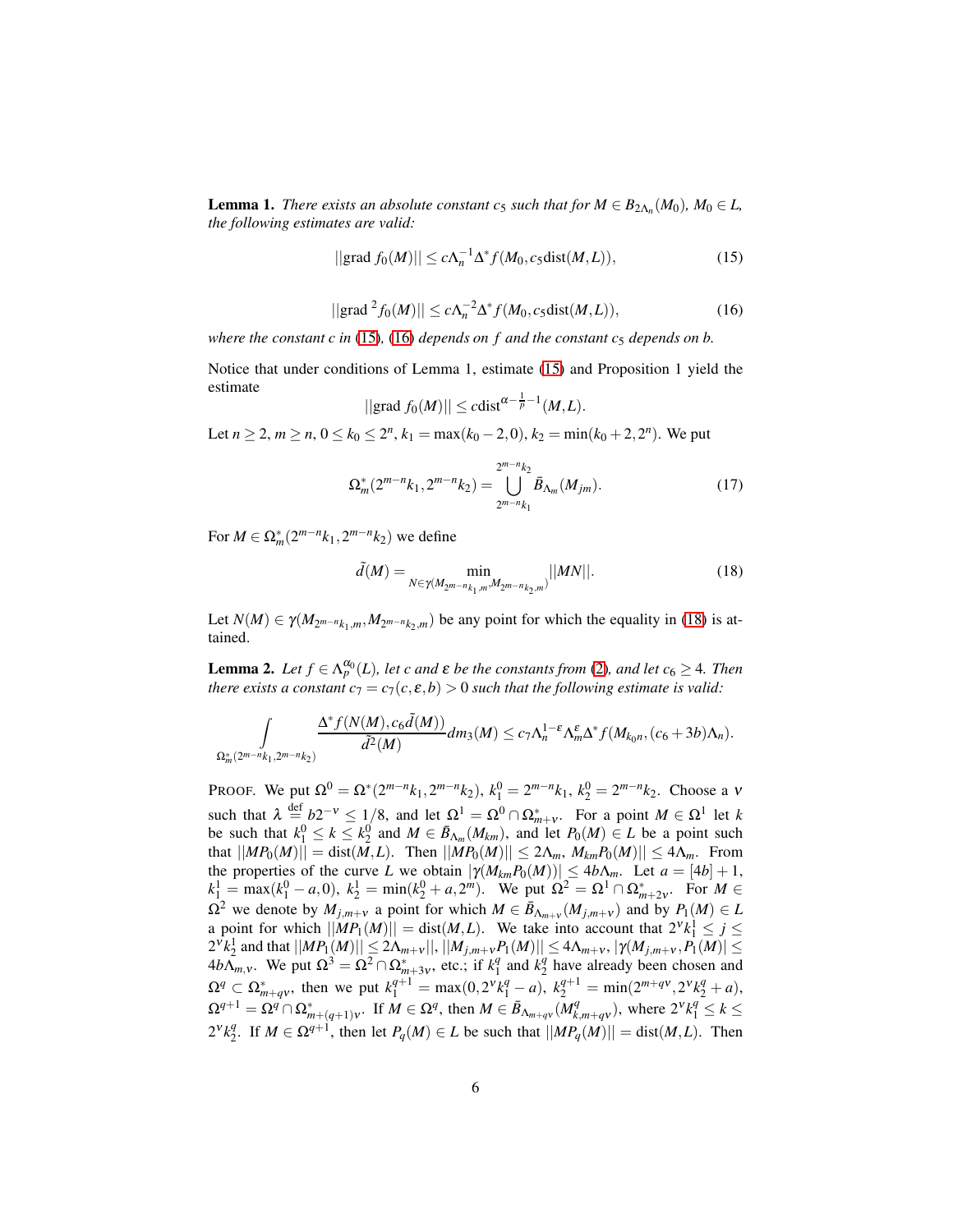**Lemma 1.** *There exists an absolute constant c<sub>5</sub> such that for*  $M \in B_{2\Lambda_n}(M_0)$ ,  $M_0 \in L$ , *the following estimates are valid:*

<span id="page-5-0"></span>
$$
||grad f_0(M)|| \le c\Lambda_n^{-1} \Delta^* f(M_0, c_5 \text{dist}(M, L)), \qquad (15)
$$

$$
||grad2f0(M)|| \le c\Lambda_n^{-2}\Delta^* f(M_0, c_5dist(M, L)),
$$
\n(16)

<span id="page-5-1"></span>*where the constant c in* [\(15\)](#page-5-0)*,* (16*) depends on f and the constant*  $c_5$  *depends on b.* 

Notice that under conditions of Lemma 1, estimate [\(15\)](#page-5-0) and Proposition 1 yield the estimate

$$
||\text{grad } f_0(M)|| \leq c \text{dist}^{\alpha - \frac{1}{p}-1}(M,L).
$$

Let  $n \ge 2$ ,  $m \ge n$ ,  $0 \le k_0 \le 2^n$ ,  $k_1 = \max(k_0 - 2, 0)$ ,  $k_2 = \min(k_0 + 2, 2^n)$ . We put

$$
\Omega_m^*(2^{m-n}k_1, 2^{m-n}k_2) = \bigcup_{2^{m-n}k_1}^{2^{m-n}k_2} \bar{B}_{\Lambda_m}(M_{jm}).
$$
\n(17)

For  $M \in \Omega_m^*(2^{m-n}k_1, 2^{m-n}k_2)$  we define

<span id="page-5-2"></span>
$$
\tilde{d}(M) = \min_{N \in \gamma(M_{2^{m-n}k_1,m}, M_{2^{m-n}k_2,m})} ||MN||. \tag{18}
$$

<span id="page-5-3"></span>Let  $N(M) \in \gamma(M_{2^{m-n}k_1,m}, M_{2^{m-n}k_2,m})$  be any point for which the equality in [\(18\)](#page-5-2) is attained.

**Lemma 2.** Let  $f \in \Lambda_p^{\alpha_0}(L)$ , let c and  $\varepsilon$  be the constants from [\(2\)](#page-2-5), and let  $c_6 \geq 4$ . Then *there exists a constant*  $c_7 = c_7(c, \varepsilon, b) > 0$  *such that the following estimate is valid:* 

$$
\int_{\Omega_m^* (2^{m-n}k_1, 2^{m-n}k_2)} \frac{\Delta^* f(N(M), c_6 \tilde{d}(M))}{\tilde{d}^2(M)} dm_3(M) \leq c_7 \Lambda_n^{1-\epsilon} \Lambda_m^{\epsilon} \Delta^* f(M_{k_0 n}, (c_6+3b)\Lambda_n).
$$

PROOF. We put  $\Omega^0 = \Omega^*(2^{m-n}k_1, 2^{m-n}k_2), k_1^0 = 2^{m-n}k_1, k_2^0 = 2^{m-n}k_2$ . Choose a v such that  $\lambda \stackrel{\text{def}}{=} b2^{-\nu} \le 1/8$ , and let  $\Omega^1 = \Omega^0 \cap \Omega^*_{m+\nu}$ . For a point  $M \in \Omega^1$  let k be such that  $k_1^0 \le k \le k_2^0$  and  $M \in \bar{B}_{\Lambda_m}(M_{km})$ , and let  $P_0(M) \in L$  be a point such  $|\text{Im}(\text{Im}(\text{M}))| = \text{dist}(\text{M}, \text{L})$ . Then  $||\text{M}(\text{P}_0(\text{M}))|| \leq 2\Lambda_m$ ,  $M_{km}(\text{P}_0(\text{M}))|| \leq 4\Lambda_m$ . From the properties of the curve *L* we obtain  $|\gamma(M_{km}P_0(M))| \leq 4b\Lambda_m$ . Let  $a = [4b] + 1$ ,  $k_1^1 = \max(k_1^0 - a, 0), k_2^1 = \min(k_2^0 + a, 2^m)$ . We put  $\Omega^2 = \Omega^1 \cap \Omega^*_{m+2\nu}$ . For  $M \in$  $\Omega^2$  we denote by  $M_{j,m+v}$  a point for which  $M \in \bar{B}_{\Lambda_{m+v}}(M_{j,m+v})$  and by  $P_1(M) \in L$ a point for which  $||MP_1(M)|| = \text{dist}(M, L)$ . We take into account that  $2^{\nu} k_1^1 \leq j \leq$  $2^{v}k_{2}^{1}$  and that  $||MP_{1}(M)|| \leq 2\Lambda_{m+v}||,$   $||M_{j,m+v}P_{1}(M)|| \leq 4\Lambda_{m+v},$   $|\gamma(M_{j,m+v},P_{1}(M)| \leq$  $4b\Lambda_{m,v}$ . We put  $\Omega^3 = \Omega^2 \cap \Omega^*_{m+3v}$ , etc.; if  $k_1^q$  $\frac{q}{1}$  and  $k_2^q$  $\frac{q}{2}$  have already been chosen and  $\Omega^q \subset \Omega^*_{m+q\nu}$ , then we put  $k_1^{q+1} = \max(0, 2^{\nu}k_1^q - a)$ ,  $k_2^{q+1} = \min(2^{m+q\nu}, 2^{\nu}k_2^q + a)$ ,  $\Omega^{q+1} = \Omega^q \cap \Omega^*_{m+(q+1)\nu}$ . If  $M \in \Omega^q$ , then  $M \in \overline{B}_{\Lambda_{m+q\nu}}(M_k^q)$  $\left\{ \begin{array}{l} q \\ k, m+q \end{array} \right\}$ , where  $2^{v} k_1^q \leq k \leq$  $2^{v}k_2^q$ <sup>*q*</sup>. If *M* ∈ Ω<sup>*q*+1</sup>, then let *P*<sub>*q*</sub>(*M*) ∈ *L* be such that  $||MP_q(M)|| = dist(M, L)$ . Then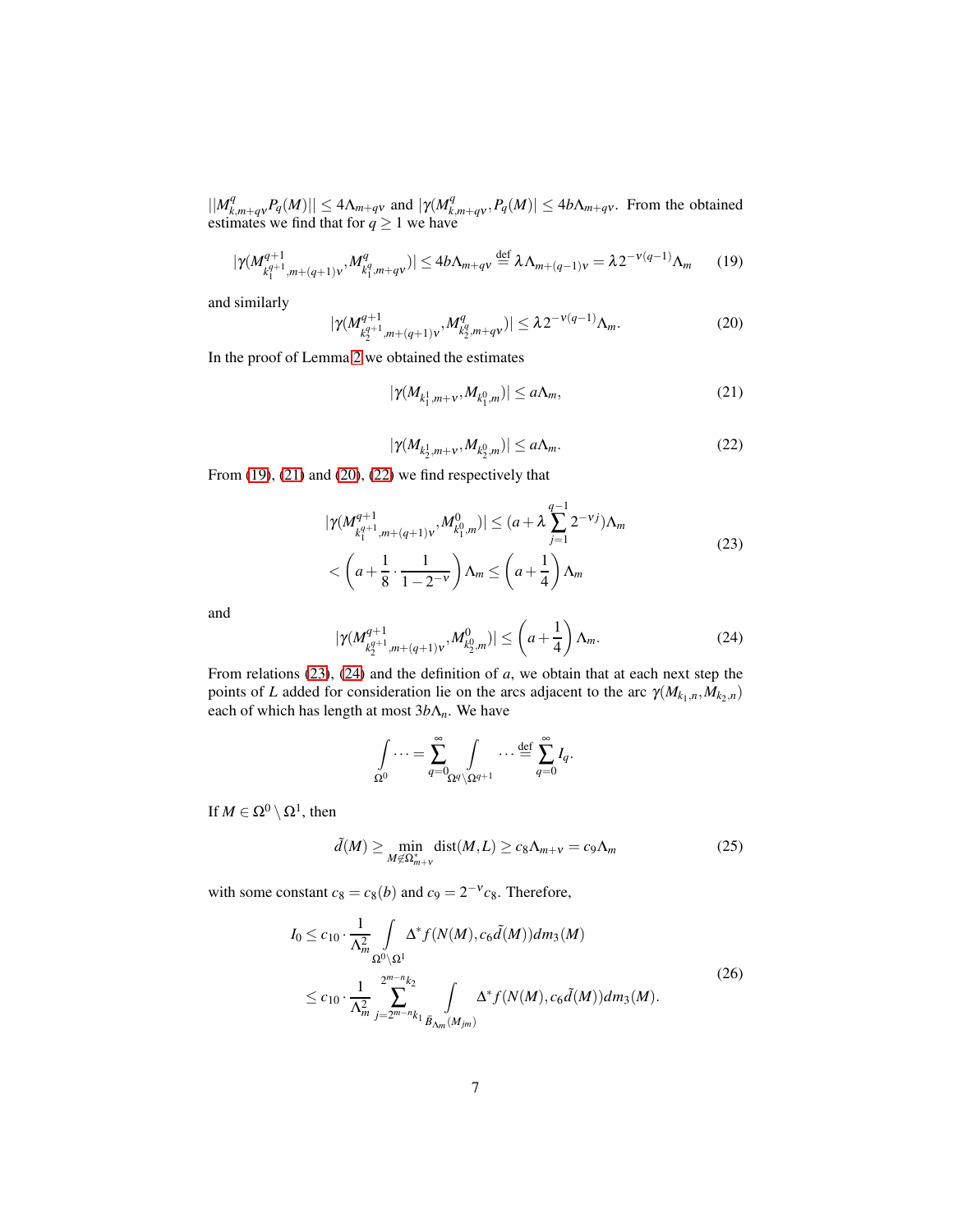$||M_k^q$  $\left| \sum_{k,m+q}^{q} P_q(M) \right| \leq 4\Lambda_{m+q}$ *v* and  $|\gamma(M_k^q)$  $\mathcal{L}_{k,m+qv}^{q}$ ,  $P_q(M)| \leq 4b\Lambda_{m+qv}$ . From the obtained estimates we find that for  $q \ge 1$  we have

$$
|\gamma(M_{k_1^{q+1},m+(q+1)v}^{q+1},M_{k_1^q,m+qv}^q)| \le 4b\Lambda_{m+qv} \stackrel{\text{def}}{=} \lambda \Lambda_{m+(q-1)v} = \lambda 2^{-v(q-1)}\Lambda_m \qquad (19)
$$

and similarly

<span id="page-6-2"></span><span id="page-6-0"></span>
$$
|\gamma(M_{k_2^{q+1}, m+(q+1)v}^{q+1}, M_{k_2^q, m+qv}^q)| \leq \lambda 2^{-v(q-1)} \Lambda_m.
$$
 (20)

In the proof of Lemma [2](#page-5-3) we obtained the estimates

<span id="page-6-1"></span>
$$
|\gamma(M_{k_1^1,m+\mathbf{v}},M_{k_1^0,m})| \le a\Lambda_m,\tag{21}
$$

<span id="page-6-4"></span>
$$
|\gamma(M_{k_{2}^{1},m+v},M_{k_{2}^{0},m})| \leq a\Lambda_{m}.
$$
 (22)

<span id="page-6-3"></span>From  $(19)$ ,  $(21)$  and  $(20)$ ,  $(22)$  we find respectively that

$$
|\gamma(M_{k_1^{q+1},m+(q+1)v}^{q+1},M_{k_1^0,m}^0)| \le (a+\lambda \sum_{j=1}^{q-1} 2^{-\nu j})\Lambda_m
$$
  

$$
< \left(a+\frac{1}{8}\cdot\frac{1}{1-2^{-\nu}}\right)\Lambda_m \le \left(a+\frac{1}{4}\right)\Lambda_m
$$
 (23)

<span id="page-6-5"></span>and

$$
|\gamma(M_{k_2^{q+1},m+(q+1)v}^{q+1},M_{k_2^0,m}^0)| \leq \left(a+\frac{1}{4}\right)\Lambda_m. \tag{24}
$$

From relations [\(23\)](#page-6-4), [\(24\)](#page-6-5) and the definition of *a*, we obtain that at each next step the points of *L* added for consideration lie on the arcs adjacent to the arc  $\gamma(M_{k_1,n}, M_{k_2,n})$ each of which has length at most 3*b*Λ*n*. We have

$$
\int_{\Omega^0}\cdots=\sum_{q=0}^\infty\int_{\Omega^q\backslash\Omega^{q+1}}\cdots\overset{\text{def}}{=}\sum_{q=0}^\infty I_q.
$$

If  $M \in \Omega^0 \setminus \Omega^1$ , then

<span id="page-6-6"></span>
$$
\tilde{d}(M) \ge \min_{M \notin \Omega_{m+\nu}^*} \text{dist}(M, L) \ge c_8 \Lambda_{m+\nu} = c_9 \Lambda_m \tag{25}
$$

with some constant  $c_8 = c_8(b)$  and  $c_9 = 2^{-v}c_8$ . Therefore,

$$
I_0 \le c_{10} \cdot \frac{1}{\Lambda_m^2} \int_{\Omega^0 \setminus \Omega^1} \Delta^* f(N(M), c_6 \tilde{d}(M)) dm_3(M)
$$
  
 
$$
\le c_{10} \cdot \frac{1}{\Lambda_m^2} \sum_{j=2^{m-n} k_1}^{2^{m-n} k_2} \int_{\tilde{B}_{\Lambda_m}(M_{jm})} \Delta^* f(N(M), c_6 \tilde{d}(M)) dm_3(M).
$$
 (26)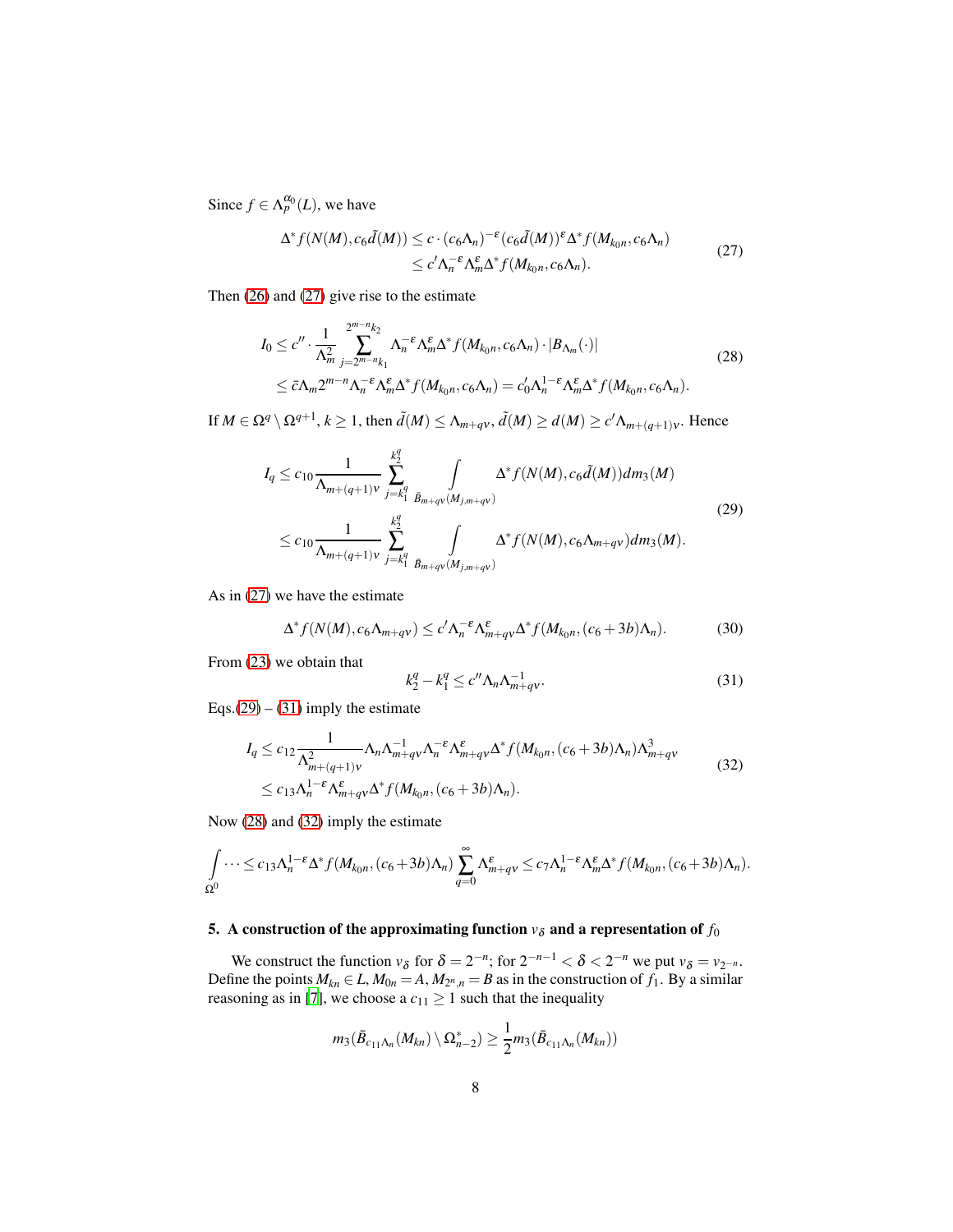Since  $f \in \Lambda_p^{\alpha_0}(L)$ , we have

<span id="page-7-4"></span><span id="page-7-1"></span>
$$
\Delta^* f(N(M), c_6 \tilde{d}(M)) \le c \cdot (c_6 \Lambda_n)^{-\epsilon} (c_6 \tilde{d}(M))^{\epsilon} \Delta^* f(M_{k_0 n}, c_6 \Lambda_n)
$$
  
\n
$$
\le c' \Lambda_n^{-\epsilon} \Lambda_m^{\epsilon} \Delta^* f(M_{k_0 n}, c_6 \Lambda_n).
$$
 (27)

Then [\(26\)](#page-6-6) and [\(27\)](#page-7-1) give rise to the estimate

$$
I_0 \leq c'' \cdot \frac{1}{\Lambda_m^2} \sum_{j=2^{m-n}k_1}^{2^{m-n}k_2} \Lambda_n^{-\varepsilon} \Lambda_m^{\varepsilon} \Delta^* f(M_{k_0 n}, c_6 \Lambda_n) \cdot |B_{\Lambda_m}(\cdot)|
$$
  

$$
\leq \bar{c} \Lambda_m 2^{m-n} \Lambda_n^{-\varepsilon} \Lambda_m^{\varepsilon} \Delta^* f(M_{k_0 n}, c_6 \Lambda_n) = c'_0 \Lambda_n^{1-\varepsilon} \Lambda_m^{\varepsilon} \Delta^* f(M_{k_0 n}, c_6 \Lambda_n).
$$
 (28)

If  $M \in \Omega^q \setminus \Omega^{q+1}, k \ge 1$ , then  $\tilde{d}(M) \le \Lambda_{m+qv}, \tilde{d}(M) \ge d(M) \ge c' \Lambda_{m+(q+1)v}$ . Hence

$$
I_{q} \leq c_{10} \frac{1}{\Lambda_{m+(q+1)v}} \sum_{j=k_{1}^{q}}^{k_{2}^{q}} \int_{\tilde{B}_{m+qv}(M_{j,m+qv})} \Delta^{*} f(N(M), c_{6}\tilde{d}(M)) dm_{3}(M)
$$
\n
$$
\leq c_{3v} \frac{1}{\Lambda_{m}(M_{1}^{q})} \sum_{j=k_{1}^{q}}^{k_{2}^{q}} \int_{\Lambda_{m}} \Delta^{*} f(N(M), c_{6}\tilde{d}(M)) dm_{3}(M) \tag{29}
$$

$$
\leq c_{10} \frac{1}{\Lambda_{m+(q+1)\nu}} \sum_{j=k_{1}^{q}}^{k_{2}^{2}} \int_{\tilde{B}_{m+q\nu}(M_{j,m+q\nu})} \Delta^* f(N(M), c_{6}\Lambda_{m+q\nu}) dm_{3}(M).
$$

As in [\(27\)](#page-7-1) we have the estimate

$$
\Delta^* f(N(M), c_6 \Lambda_{m+qv}) \le c' \Lambda_n^{-\epsilon} \Lambda_{m+qv}^{\epsilon} \Delta^* f(M_{k_0 n}, (c_6+3b) \Lambda_n). \tag{30}
$$

From [\(23\)](#page-6-4) we obtain that

<span id="page-7-5"></span><span id="page-7-3"></span><span id="page-7-2"></span>
$$
k_2^q - k_1^q \le c'' \Lambda_n \Lambda_{m+qv}^{-1}.
$$
 (31)

Eqs. $(29) - (31)$  $(29) - (31)$  $(29) - (31)$  imply the estimate

$$
I_q \leq c_{12} \frac{1}{\Lambda_{m+(q+1)\nu}^2} \Lambda_n \Lambda_{m+q\nu}^{-1} \Lambda_n^{\varepsilon} \Lambda_{m+q\nu}^{\varepsilon} \Delta^* f(M_{k_0n}, (c_6+3b)\Lambda_n) \Lambda_{m+q\nu}^3
$$
  

$$
\leq c_{13} \Lambda_n^{1-\varepsilon} \Lambda_{m+q\nu}^{\varepsilon} \Delta^* f(M_{k_0n}, (c_6+3b)\Lambda_n).
$$
 (32)

Now [\(28\)](#page-7-4) and [\(32\)](#page-7-5) imply the estimate

$$
\int_{\Omega^0} \cdots \leq c_{13} \Lambda_n^{1-\epsilon} \Delta^* f(M_{k_0n}, (c_6+3b)\Lambda_n) \sum_{q=0}^{\infty} \Lambda_{m+qv}^{\epsilon} \leq c_7 \Lambda_n^{1-\epsilon} \Lambda_m^{\epsilon} \Delta^* f(M_{k_0n}, (c_6+3b)\Lambda_n).
$$

# <span id="page-7-0"></span>5. A construction of the approximating function  $v_{\delta}$  and a representation of  $f_0$

We construct the function  $v_{\delta}$  for  $\delta = 2^{-n}$ ; for  $2^{-n-1} < \delta < 2^{-n}$  we put  $v_{\delta} = v_{2^{-n}}$ . Define the points  $M_{kn} \in L$ ,  $M_{0n} = A$ ,  $M_{2^n,n} = B$  as in the construction of  $f_1$ . By a similar reasoning as in [\[7](#page-17-6)], we choose a  $c_{11} \geq 1$  such that the inequality

$$
m_3(\bar{B}_{c_{11}\Lambda_n}(M_{kn})\setminus \Omega_{n-2}^*)\geq \frac{1}{2}m_3(\bar{B}_{c_{11}\Lambda_n}(M_{kn}))
$$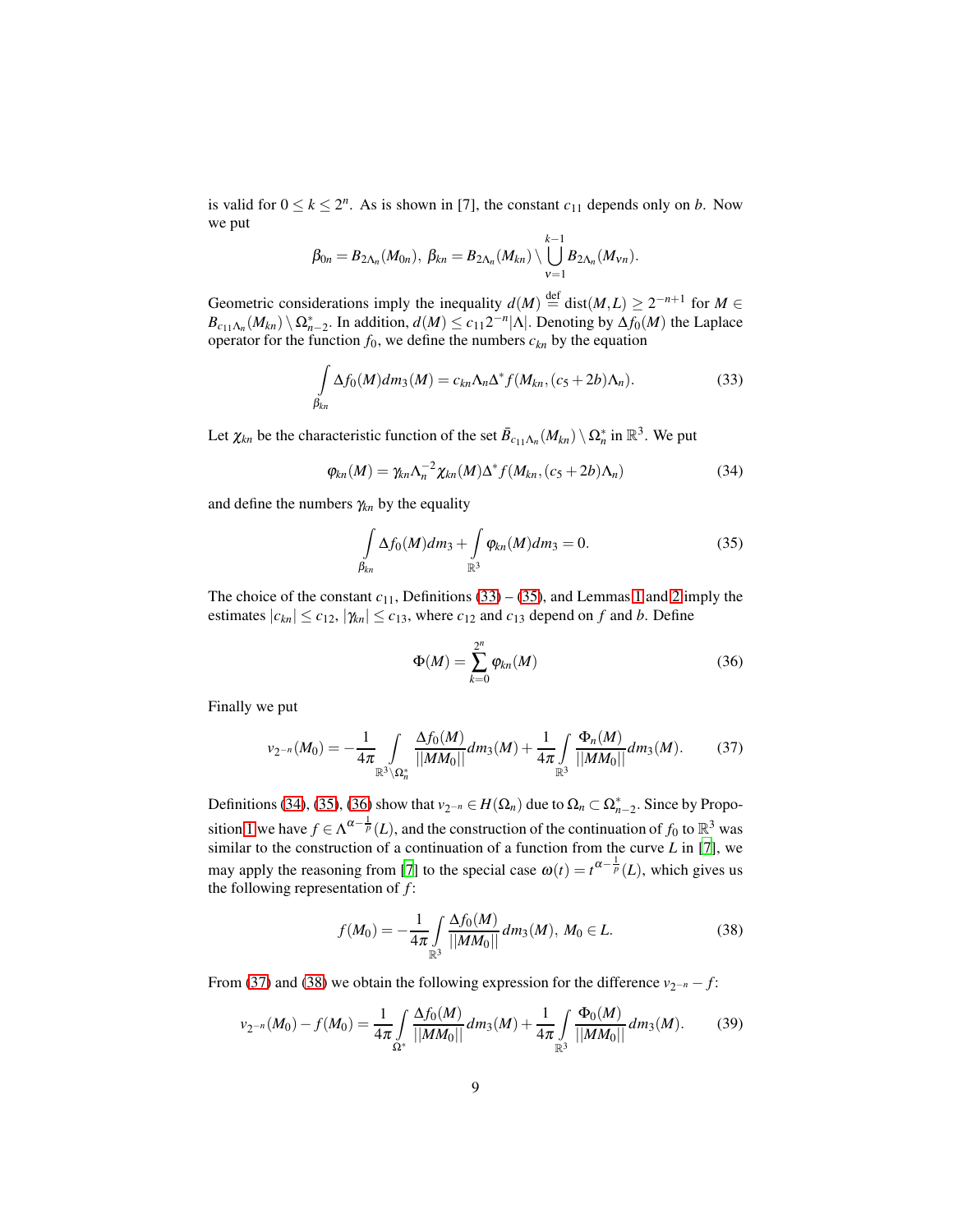is valid for  $0 \le k \le 2^n$ . As is shown in [7], the constant  $c_{11}$  depends only on *b*. Now we put

$$
\beta_{0n}=B_{2\Lambda_n}(M_{0n}),\ \beta_{kn}=B_{2\Lambda_n}(M_{kn})\setminus\bigcup_{\nu=1}^{k-1}B_{2\Lambda_n}(M_{\nu n}).
$$

Geometric considerations imply the inequality  $d(M) \stackrel{\text{def}}{=} \text{dist}(M,L) \geq 2^{-n+1}$  for  $M \in$  $B_{c_{11}\Lambda_n}(M_{kn}) \setminus \Omega_{n-2}^*$ . In addition,  $d(M) \le c_{11}2^{-n}|\Lambda|$ . Denoting by  $\Delta f_0(M)$  the Laplace operator for the function  $f_0$ , we define the numbers  $c_{kn}$  by the equation

<span id="page-8-0"></span>
$$
\int_{\beta_{kn}} \Delta f_0(M) dm_3(M) = c_{kn} \Lambda_n \Delta^* f(M_{kn}, (c_5 + 2b) \Lambda_n).
$$
\n(33)

Let  $\chi_{kn}$  be the characteristic function of the set  $\bar{B}_{c_1}$ <sub>*A<sub>n</sub>*</sub> (*M<sub>kn</sub>*)  $\setminus \Omega_n^*$  in  $\mathbb{R}^3$ . We put

$$
\varphi_{kn}(M) = \gamma_{kn}\Lambda_n^{-2}\chi_{kn}(M)\Delta^* f(M_{kn},(c_5+2b)\Lambda_n)
$$
\n(34)

and define the numbers  $\gamma_{kn}$  by the equality

<span id="page-8-2"></span><span id="page-8-1"></span>
$$
\int_{\beta_{kn}} \Delta f_0(M) dm_3 + \int_{\mathbb{R}^3} \varphi_{kn}(M) dm_3 = 0.
$$
\n(35)

The choice of the constant  $c_{11}$ , Definitions [\(33\)](#page-8-0) – [\(35\)](#page-8-1), and Lemmas [1](#page-4-4) and [2](#page-5-3) imply the estimates  $|c_{kn}| \leq c_{12}$ ,  $|\gamma_{kn}| \leq c_{13}$ , where  $c_{12}$  and  $c_{13}$  depend on *f* and *b*. Define

<span id="page-8-3"></span>
$$
\Phi(M) = \sum_{k=0}^{2^n} \varphi_{kn}(M) \tag{36}
$$

Finally we put

<span id="page-8-4"></span>
$$
\nu_{2^{-n}}(M_0) = -\frac{1}{4\pi} \int\limits_{\mathbb{R}^3 \backslash \Omega_n^*} \frac{\Delta f_0(M)}{||MM_0||} dm_3(M) + \frac{1}{4\pi} \int\limits_{\mathbb{R}^3} \frac{\Phi_n(M)}{||MM_0||} dm_3(M). \tag{37}
$$

Definitions [\(34\)](#page-8-2), [\(35\)](#page-8-1), [\(36\)](#page-8-3) show that  $v_{2^{-n}} \in H(\Omega_n)$  due to  $\Omega_n \subset \Omega_{n-2}^*$ . Since by Propo-sition [1](#page-3-6) we have  $f \in \Lambda^{\alpha - \frac{1}{p}}(L)$ , and the construction of the continuation of  $f_0$  to  $\mathbb{R}^3$  was similar to the construction of a continuation of a function from the curve *L* in [\[7](#page-17-6)], we may apply the reasoning from [\[7\]](#page-17-6) to the special case  $\omega(t) = t^{\alpha - \frac{1}{p}}(L)$ , which gives us the following representation of *f* :

<span id="page-8-6"></span><span id="page-8-5"></span>
$$
f(M_0) = -\frac{1}{4\pi} \int_{\mathbb{R}^3} \frac{\Delta f_0(M)}{||MM_0||} dm_3(M), \ M_0 \in L. \tag{38}
$$

From [\(37\)](#page-8-4) and [\(38\)](#page-8-5) we obtain the following expression for the difference  $v_{2^{-n}} - f$ :

$$
\nu_{2^{-n}}(M_0) - f(M_0) = \frac{1}{4\pi} \int\limits_{\Omega^*} \frac{\Delta f_0(M)}{||MM_0||} dm_3(M) + \frac{1}{4\pi} \int\limits_{\mathbb{R}^3} \frac{\Phi_0(M)}{||MM_0||} dm_3(M). \tag{39}
$$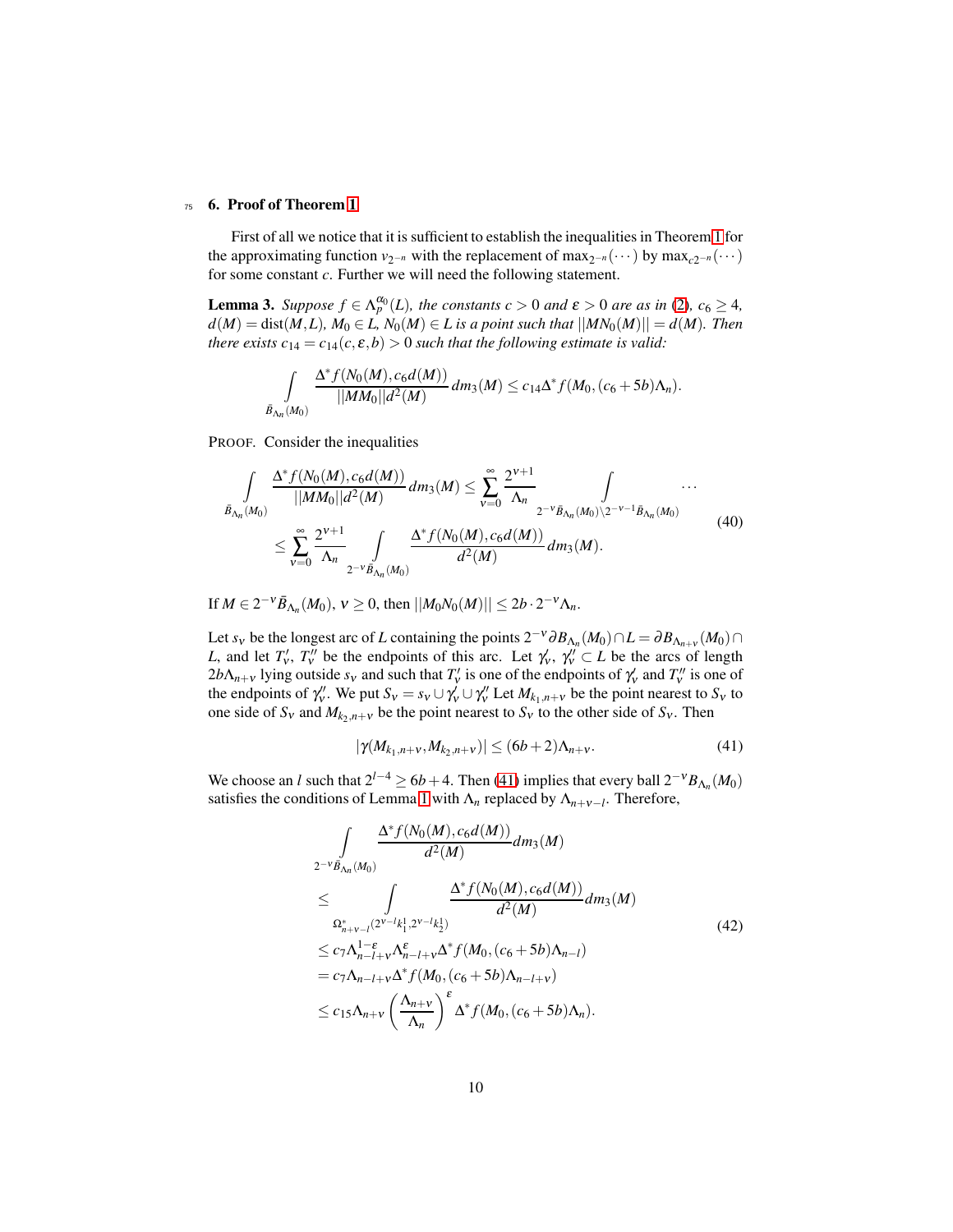#### <span id="page-9-0"></span><sup>75</sup> 6. Proof of Theorem [1](#page-2-1)

First of all we notice that it is sufficient to establish the inequalities in Theorem [1](#page-2-1) for the approximating function  $v_{2^{-n}}$  with the replacement of max<sub>2</sub>−*n*(···) by max<sub>*c*2<sup>−*n*</sup></sub>(···) for some constant *c*. Further we will need the following statement.

**Lemma 3.** Suppose  $f \in \Lambda_p^{\alpha_0}(L)$ , the constants  $c > 0$  and  $\varepsilon > 0$  are as in [\(2\)](#page-2-5),  $c_6 \geq 4$ ,  $d(M) = \text{dist}(M, L)$ ,  $M_0 \in L$ ,  $N_0(M) \in L$  is a point such that  $||MN_0(M)|| = d(M)$ . Then *there exists*  $c_{14} = c_{14}(c, \varepsilon, b) > 0$  *such that the following estimate is valid:* 

<span id="page-9-4"></span><span id="page-9-2"></span>
$$
\int_{\bar{B}_{\Lambda_n}(M_0)} \frac{\Delta^* f(N_0(M), c_6 d(M))}{||MM_0||d^2(M)} dm_3(M) \leq c_{14} \Delta^* f(M_0, (c_6+5b)\Lambda_n).
$$

PROOF. Consider the inequalities

$$
\int_{\bar{B}_{\Lambda_n}(M_0)} \frac{\Delta^* f(N_0(M), c_6 d(M))}{||MM_0||d^2(M)} dm_3(M) \le \sum_{\nu=0}^{\infty} \frac{2^{\nu+1}}{\Lambda_n} \int_{2^{-\nu} \bar{B}_{\Lambda_n}(M_0) \setminus 2^{-\nu-1} \bar{B}_{\Lambda_n}(M_0)} \cdots
$$
\n
$$
\le \sum_{\nu=0}^{\infty} \frac{2^{\nu+1}}{\Lambda_n} \int_{2^{-\nu} \bar{B}_{\Lambda_n}(M_0)} \frac{\Delta^* f(N_0(M), c_6 d(M))}{d^2(M)} dm_3(M).
$$
\n(40)

If  $M \in 2^{-\nu} \bar{B}_{\Lambda_n}(M_0), \nu \ge 0$ , then  $||M_0 N_0(M)|| \le 2b \cdot 2^{-\nu} \Lambda_n$ .

Let *s*<sup>V</sup> be the longest arc of *L* containing the points  $2^{-\nu} \partial B_{\Lambda_n}(M_0) \cap L = \partial B_{\Lambda_{n+\nu}}(M_0) \cap L$ *L*, and let  $T'_v$ ,  $T''_v$  be the endpoints of this arc. Let  $\gamma'_v$ ,  $\gamma''_v \subset L$  be the arcs of length  $2b\Lambda_{n+v}$  lying outside  $s_v$  and such that  $T'_v$  is one of the endpoints of  $\gamma'_v$  and  $T''_v$  is one of the endpoints of  $\gamma''_v$ . We put  $S_v = s_v \cup \gamma'_v \cup \gamma''_v$  Let  $M_{k_1,n+v}$  be the point nearest to  $S_v$  to one side of  $S_v$  and  $M_{k_2,n+v}$  be the point nearest to  $S_v$  to the other side of  $S_v$ . Then

<span id="page-9-3"></span><span id="page-9-1"></span>
$$
|\gamma(M_{k_1,n+\nu},M_{k_2,n+\nu})| \le (6b+2)\Lambda_{n+\nu}.
$$
 (41)

We choose an *l* such that  $2^{l-4} \ge 6b + 4$ . Then [\(41\)](#page-9-1) implies that every ball  $2^{-\nu}B_{\Lambda_n}(M_0)$ satisfies the conditions of Lemma [1](#page-4-4) with  $\Lambda_n$  replaced by  $\Lambda_{n+\nu-l}$ . Therefore,

$$
\int_{2^{-\nu}\bar{B}_{\Lambda_n}(M_0)} \frac{\Delta^* f(N_0(M), c_6 d(M))}{d^2(M)} dm_3(M)
$$
\n
$$
\leq \int_{\Omega^*_{n+\nu-l}(2^{\nu-l}k_1^1, 2^{\nu-l}k_2^1)} \frac{\Delta^* f(N_0(M), c_6 d(M))}{d^2(M)} dm_3(M)
$$
\n
$$
\leq c_7 \Lambda_{n-l+\nu}^{1-\varepsilon} \Lambda_{n-l+\nu}^{\varepsilon} \Delta^* f(M_0, (c_6+5b)\Lambda_{n-l})
$$
\n
$$
= c_7 \Lambda_{n-l+\nu} \Delta^* f(M_0, (c_6+5b)\Lambda_{n-l+\nu})
$$
\n
$$
\leq c_{15} \Lambda_{n+\nu} \left(\frac{\Lambda_{n+\nu}}{\Lambda_n}\right)^{\varepsilon} \Delta^* f(M_0, (c_6+5b)\Lambda_n).
$$
\n(42)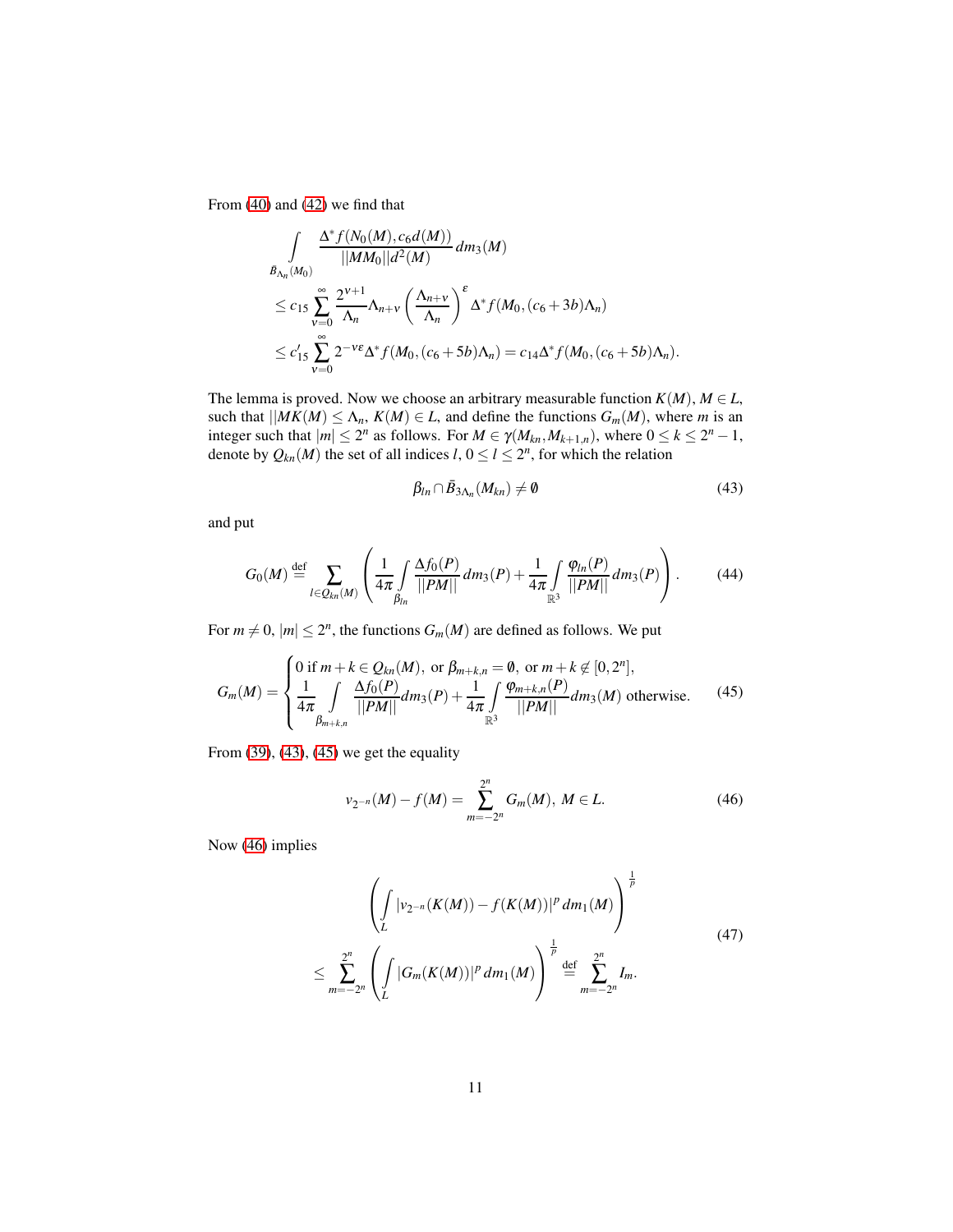From [\(40\)](#page-9-2) and [\(42\)](#page-9-3) we find that

$$
\int_{\mathcal{B}_{\Lambda_n}(M_0)} \frac{\Delta^* f(N_0(M), c_6 d(M))}{||MM_0||d^2(M)} dm_3(M)
$$
\n
$$
\leq c_{15} \sum_{\nu=0}^{\infty} \frac{2^{\nu+1}}{\Lambda_n} \Lambda_{n+\nu} \left(\frac{\Lambda_{n+\nu}}{\Lambda_n}\right)^{\varepsilon} \Delta^* f(M_0, (c_6+3b)\Lambda_n)
$$
\n
$$
\leq c'_{15} \sum_{\nu=0}^{\infty} 2^{-\nu\varepsilon} \Delta^* f(M_0, (c_6+5b)\Lambda_n) = c_{14} \Delta^* f(M_0, (c_6+5b)\Lambda_n).
$$

The lemma is proved. Now we choose an arbitrary measurable function  $K(M)$ ,  $M \in L$ , such that  $|MK(M)| \leq \Lambda_n$ ,  $K(M) \in L$ , and define the functions  $G_m(M)$ , where *m* is an integer such that  $|m| \leq 2^n$  as follows. For  $M \in \gamma(M_{kn}, M_{k+1,n})$ , where  $0 \leq k \leq 2^n - 1$ , denote by  $Q_{kn}(M)$  the set of all indices  $l, 0 \le l \le 2<sup>n</sup>$ , for which the relation

<span id="page-10-1"></span><span id="page-10-0"></span>
$$
\beta_{ln} \cap \bar{B}_{3\Lambda_n}(M_{kn}) \neq \emptyset \tag{43}
$$

and put

$$
G_0(M) \stackrel{\text{def}}{=} \sum_{l \in Q_{kn}(M)} \left( \frac{1}{4\pi} \int_{\beta_{ln}} \frac{\Delta f_0(P)}{||PM||} dm_3(P) + \frac{1}{4\pi} \int_{\mathbb{R}^3} \frac{\varphi_{ln}(P)}{||PM||} dm_3(P) \right). \tag{44}
$$

For  $m \neq 0$ ,  $|m| \leq 2<sup>n</sup>$ , the functions  $G_m(M)$  are defined as follows. We put

$$
G_m(M) = \begin{cases} 0 \text{ if } m + k \in Q_{kn}(M), \text{ or } \beta_{m+k,n} = \emptyset, \text{ or } m + k \notin [0, 2^n], \\ \frac{1}{4\pi} \int_{\beta_{m+k,n}} \frac{\Delta f_0(P)}{||PM||} dm_3(P) + \frac{1}{4\pi} \int_{\mathbb{R}^3} \frac{\varphi_{m+k,n}(P)}{||PM||} dm_3(M) \text{ otherwise.} \end{cases}
$$
(45)

From  $(39)$ ,  $(43)$ ,  $(45)$  we get the equality

<span id="page-10-2"></span>
$$
\nu_{2^{-n}}(M) - f(M) = \sum_{m=-2^n}^{2^n} G_m(M), \ M \in L. \tag{46}
$$

Now [\(46\)](#page-10-2) implies

<span id="page-10-3"></span>
$$
\left(\int_{L} |v_{2^{-n}}(K(M)) - f(K(M))|^{p} dm_{1}(M)\right)^{\frac{1}{p}} \leq \sum_{m=-2^{n}}^{2^{n}} \left(\int_{L} |G_{m}(K(M))|^{p} dm_{1}(M)\right)^{\frac{1}{p}} \stackrel{\text{def}}{=} \sum_{m=-2^{n}}^{2^{n}} I_{m}.
$$
\n(47)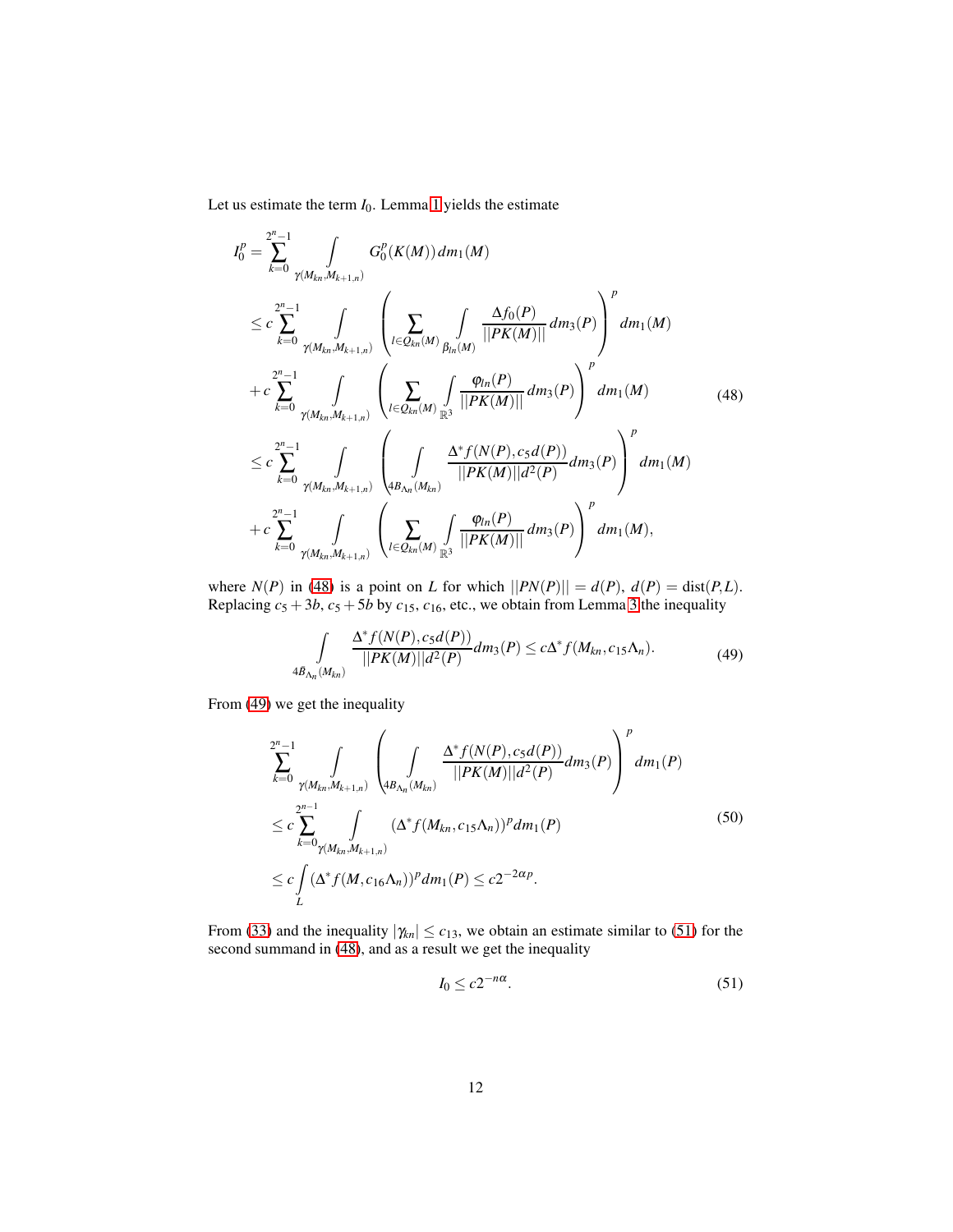Let us estimate the term  $I_0$ . Lemma [1](#page-4-4) yields the estimate

<span id="page-11-0"></span>
$$
I_{0}^{p} = \sum_{k=0}^{2^{n}-1} \int_{\gamma(M_{kn},M_{k+1,n})} G_{0}^{p}(K(M)) dm_{1}(M)
$$
  
\n
$$
\leq c \sum_{k=0}^{2^{n}-1} \int_{\gamma(M_{kn},M_{k+1,n})} \left( \sum_{l \in Q_{kn}(M)} \int_{\beta_{ln}(M)} \frac{\Delta f_{0}(P)}{||PK(M)||} dm_{3}(P) \right)^{p} dm_{1}(M)
$$
  
\n
$$
+ c \sum_{k=0}^{2^{n}-1} \int_{\gamma(M_{kn},M_{k+1,n})} \left( \sum_{l \in Q_{kn}(M)} \int_{\mathbb{R}^{3}} \frac{\varphi_{ln}(P)}{||PK(M)||} dm_{3}(P) \right)^{p} dm_{1}(M)
$$
  
\n
$$
\leq c \sum_{k=0}^{2^{n}-1} \int_{\gamma(M_{kn},M_{k+1,n})} \left( \int_{4B_{\Lambda_{n}}(M_{kn})} \frac{\Delta^{*} f(N(P), c_{5} d(P))}{||PK(M)||d^{2}(P)} dm_{3}(P) \right)^{p} dm_{1}(M)
$$
  
\n
$$
+ c \sum_{k=0}^{2^{n}-1} \int_{\gamma(M_{kn},M_{k+1,n})} \left( \sum_{l \in Q_{kn}(M)} \int_{\mathbb{R}^{3}} \frac{\varphi_{ln}(P)}{||PK(M)||} dm_{3}(P) \right)^{p} dm_{1}(M),
$$
  
\n(48)

where  $N(P)$  in [\(48\)](#page-11-0) is a point on *L* for which  $||PN(P)|| = d(P), d(P) = \text{dist}(P, L)$ . Replacing  $c_5 + 3b$  $c_5 + 3b$  $c_5 + 3b$ ,  $c_5 + 5b$  by  $c_{15}$ ,  $c_{16}$ , etc., we obtain from Lemma 3 the inequality

<span id="page-11-1"></span>
$$
\int\limits_{4\bar{B}_{\Lambda_n}(M_{kn})}\frac{\Delta^* f(N(P), c_5d(P))}{||PK(M)||d^2(P)}dm_3(P) \le c\Delta^* f(M_{kn}, c_{15}\Lambda_n). \tag{49}
$$

From [\(49\)](#page-11-1) we get the inequality

$$
\sum_{k=0}^{2^{n}-1} \int_{\gamma(M_{kn},M_{k+1,n})} \left( \int_{4B_{\Lambda_n}(M_{kn})} \frac{\Delta^* f(N(P), c_5 d(P))}{||PK(M)||d^2(P)} dm_3(P) \right)^p dm_1(P)
$$
\n
$$
\leq c \sum_{k=0}^{2^{n-1}} \int_{\gamma(M_{kn},M_{k+1,n})} (\Delta^* f(M_{kn}, c_{15}\Lambda_n))^p dm_1(P)
$$
\n
$$
\leq c \int_{L} (\Delta^* f(M, c_{16}\Lambda_n))^p dm_1(P) \leq c 2^{-2\alpha p}.
$$
\n(50)

From [\(33\)](#page-8-0) and the inequality  $|\gamma_{kn}| \leq c_{13}$ , we obtain an estimate similar to [\(51\)](#page-11-2) for the second summand in [\(48\)](#page-11-0), and as a result we get the inequality

<span id="page-11-2"></span>
$$
I_0 \le c2^{-n\alpha}.\tag{51}
$$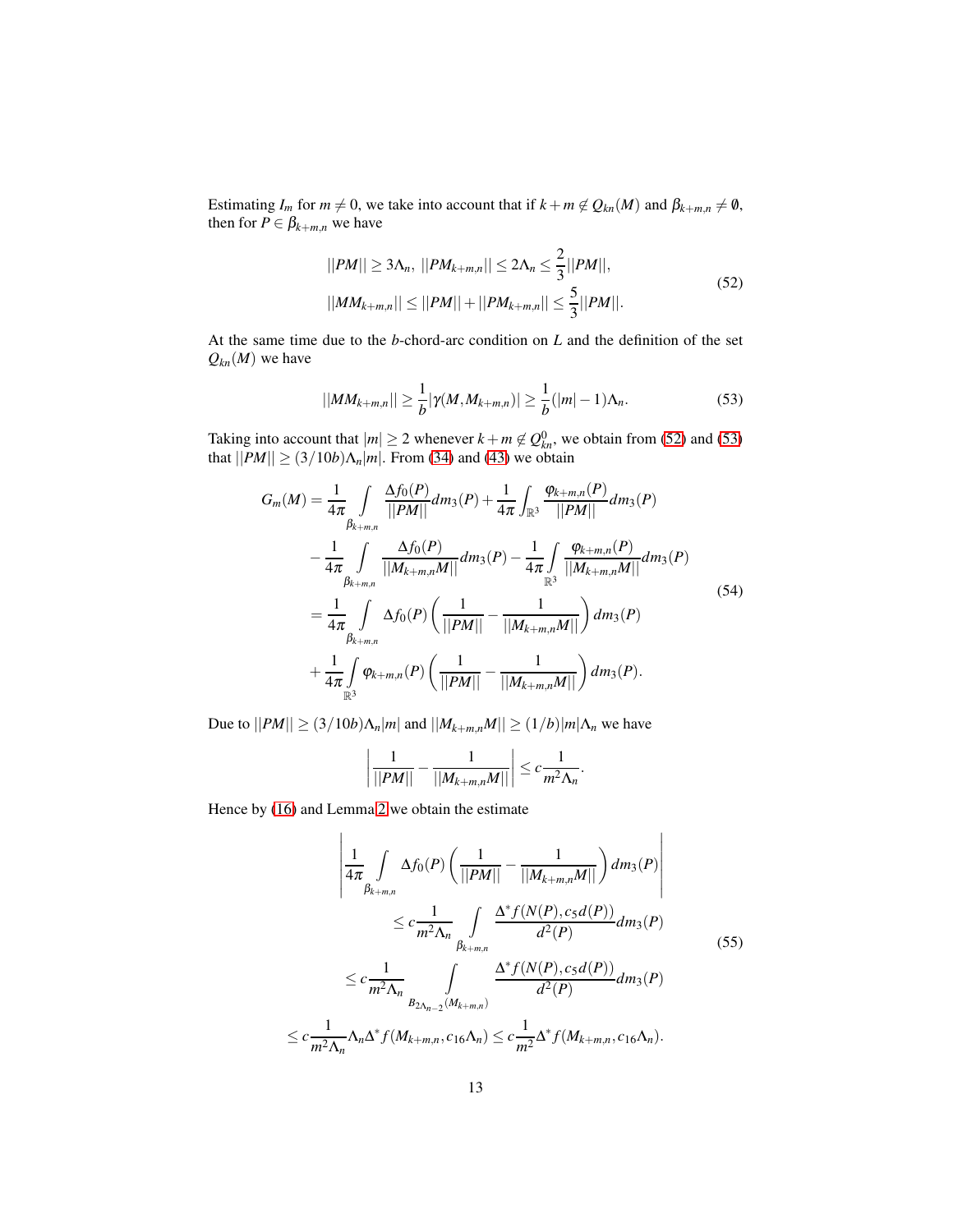Estimating *I<sub>m</sub>* for  $m \neq 0$ , we take into account that if  $k + m \notin Q_{kn}(M)$  and  $\beta_{k+m,n} \neq \emptyset$ , then for  $P \in \beta_{k+m,n}$  we have

<span id="page-12-0"></span>
$$
||PM|| \ge 3\Lambda_n, ||PM_{k+m,n}|| \le 2\Lambda_n \le \frac{2}{3}||PM||,
$$
  

$$
||MM_{k+m,n}|| \le ||PM|| + ||PM_{k+m,n}|| \le \frac{5}{3}||PM||.
$$
 (52)

At the same time due to the *b*-chord-arc condition on *L* and the definition of the set  $Q_{kn}(M)$  we have

<span id="page-12-2"></span><span id="page-12-1"></span>
$$
||MM_{k+m,n}|| \geq \frac{1}{b} |\gamma(M,M_{k+m,n})| \geq \frac{1}{b} (|m|-1) \Lambda_n.
$$
 (53)

Taking into account that  $|m| \ge 2$  whenever  $k + m \notin Q_{kn}^0$ , we obtain from [\(52\)](#page-12-0) and [\(53\)](#page-12-1) that  $||PM|| \ge (3/10b)\Lambda_n|m|$ . From [\(34\)](#page-8-2) and [\(43\)](#page-10-0) we obtain

$$
G_m(M) = \frac{1}{4\pi} \int_{\beta_{k+m,n}} \frac{\Delta f_0(P)}{||PM||} dm_3(P) + \frac{1}{4\pi} \int_{\mathbb{R}^3} \frac{\varphi_{k+m,n}(P)}{||PM||} dm_3(P) - \frac{1}{4\pi} \int_{\beta_{k+m,n}} \frac{\Delta f_0(P)}{||M_{k+m,n}M||} dm_3(P) - \frac{1}{4\pi} \int_{\mathbb{R}^3} \frac{\varphi_{k+m,n}(P)}{||M_{k+m,n}M||} dm_3(P) = \frac{1}{4\pi} \int_{\beta_{k+m,n}} \Delta f_0(P) \left( \frac{1}{||PM||} - \frac{1}{||M_{k+m,n}M||} \right) dm_3(P) + \frac{1}{4\pi} \int_{\mathbb{R}^3} \varphi_{k+m,n}(P) \left( \frac{1}{||PM||} - \frac{1}{||M_{k+m,n}M||} \right) dm_3(P).
$$
\n(54)

Due to  $||PM|| ≥ (3/10b)Λ<sub>n</sub>|m|$  and  $||M<sub>k+m,n</sub>M|| ≥ (1/b)|m|Λ<sub>n</sub>$  we have

$$
\left| \frac{1}{||PM||} - \frac{1}{||M_{k+m,n}M||} \right| \leq c \frac{1}{m^2 \Lambda_n}.
$$

Hence by [\(16\)](#page-5-1) and Lemma [2](#page-2-5) we obtain the estimate

$$
\left| \frac{1}{4\pi} \int_{\beta_{k+m,n}} \Delta f_0(P) \left( \frac{1}{||PM||} - \frac{1}{||M_{k+m,n}M||} \right) dm_3(P) \right|
$$
  
\n
$$
\leq c \frac{1}{m^2 \Lambda_n} \int_{\beta_{k+m,n}} \frac{\Delta^* f(N(P), c_5d(P))}{d^2(P)} dm_3(P)
$$
  
\n
$$
\leq c \frac{1}{m^2 \Lambda_n} \int_{B_{2\Lambda_{n-2}}(M_{k+m,n})} \frac{\Delta^* f(N(P), c_5d(P))}{d^2(P)} dm_3(P)
$$
  
\n
$$
\leq c \frac{1}{m^2 \Lambda_n} \Lambda_n \Delta^* f(M_{k+m,n}, c_{16}\Lambda_n) \leq c \frac{1}{m^2} \Delta^* f(M_{k+m,n}, c_{16}\Lambda_n).
$$
 (55)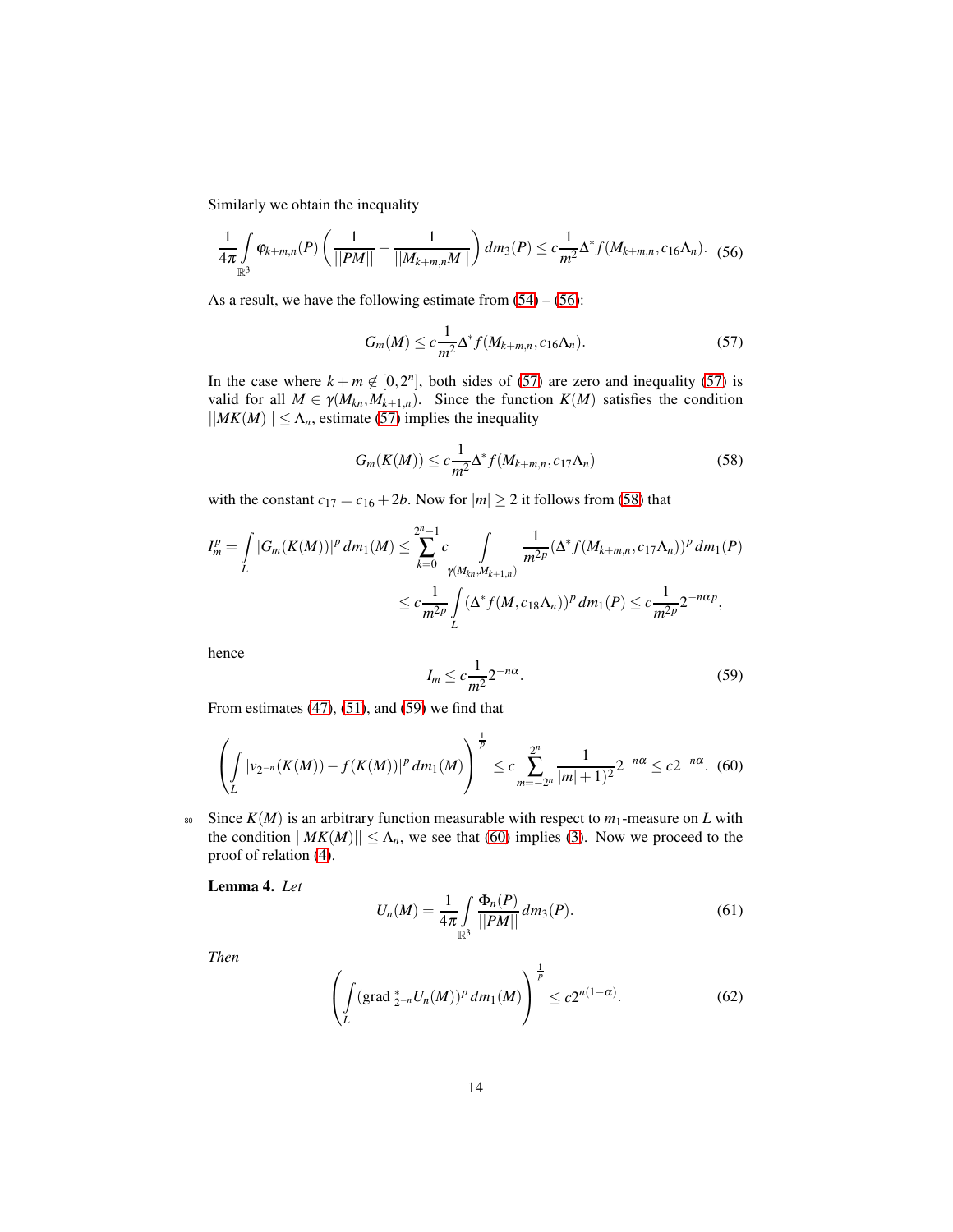Similarly we obtain the inequality

$$
\frac{1}{4\pi} \int_{\mathbb{R}^3} \varphi_{k+m,n}(P) \left( \frac{1}{||PM||} - \frac{1}{||M_{k+m,n}M||} \right) dm_3(P) \leq c \frac{1}{m^2} \Delta^* f(M_{k+m,n}, c_{16} \Lambda_n). \tag{56}
$$

As a result, we have the following estimate from  $(54) - (56)$  $(54) - (56)$ :

<span id="page-13-1"></span><span id="page-13-0"></span>
$$
G_m(M) \leq c \frac{1}{m^2} \Delta^* f(M_{k+m,n}, c_{16} \Lambda_n). \tag{57}
$$

In the case where  $k + m \notin [0, 2^n]$ , both sides of [\(57\)](#page-13-1) are zero and inequality [\(57\)](#page-13-1) is valid for all  $M \in \gamma(M_{kn}, M_{k+1,n})$ . Since the function  $K(M)$  satisfies the condition  $||MK(M)|| \leq \Lambda_n$ , estimate [\(57\)](#page-13-1) implies the inequality

<span id="page-13-2"></span>
$$
G_m(K(M)) \leq c \frac{1}{m^2} \Delta^* f(M_{k+m,n}, c_{17} \Lambda_n)
$$
\n
$$
(58)
$$

with the constant  $c_{17} = c_{16} + 2b$ . Now for  $|m| \ge 2$  it follows from [\(58\)](#page-13-2) that

$$
I_m^p = \int\limits_L |G_m(K(M))|^p \, dm_1(M) \leq \sum_{k=0}^{2^n-1} c \int\limits_{\gamma(M_{kn},M_{k+1,n})} \frac{1}{m^{2p}} (\Delta^* f(M_{k+m,n},c_{17}\Lambda_n))^p \, dm_1(P)
$$
  

$$
\leq c \frac{1}{m^{2p}} \int\limits_L (\Delta^* f(M,c_{18}\Lambda_n))^p \, dm_1(P) \leq c \frac{1}{m^{2p}} 2^{-n\alpha p},
$$

<span id="page-13-3"></span>hence

$$
I_m \leq c \frac{1}{m^2} 2^{-n\alpha}.
$$
\n(59)

From estimates [\(47\)](#page-10-3), [\(51\)](#page-11-2), and [\(59\)](#page-13-3) we find that

$$
\left(\int\limits_L |\nu_{2^{-n}}(K(M)) - f(K(M))|^p \, dm_1(M)\right)^{\frac{1}{p}} \le c \sum_{m=-2^n}^{2^n} \frac{1}{|m|+1|^2} 2^{-n\alpha} \le c2^{-n\alpha}.\tag{60}
$$

<span id="page-13-4"></span>1

80 Since  $K(M)$  is an arbitrary function measurable with respect to  $m_1$ -measure on *L* with the condition  $||MK(M)|| \leq \Lambda_n$ , we see that [\(60\)](#page-13-4) implies [\(3\)](#page-2-3). Now we proceed to the proof of relation [\(4\)](#page-2-4).

Lemma 4. *Let*

$$
U_n(M) = \frac{1}{4\pi} \int_{\mathbb{R}^3} \frac{\Phi_n(P)}{||PM||} dm_3(P).
$$
 (61)

<span id="page-13-5"></span>*Then*

$$
\left(\int_{L} (\text{grad }_{2^{-n}}^{*} U_{n}(M))^{p} d m_{1}(M)\right)^{\frac{1}{p}} \leq c 2^{n(1-\alpha)}.
$$
\n(62)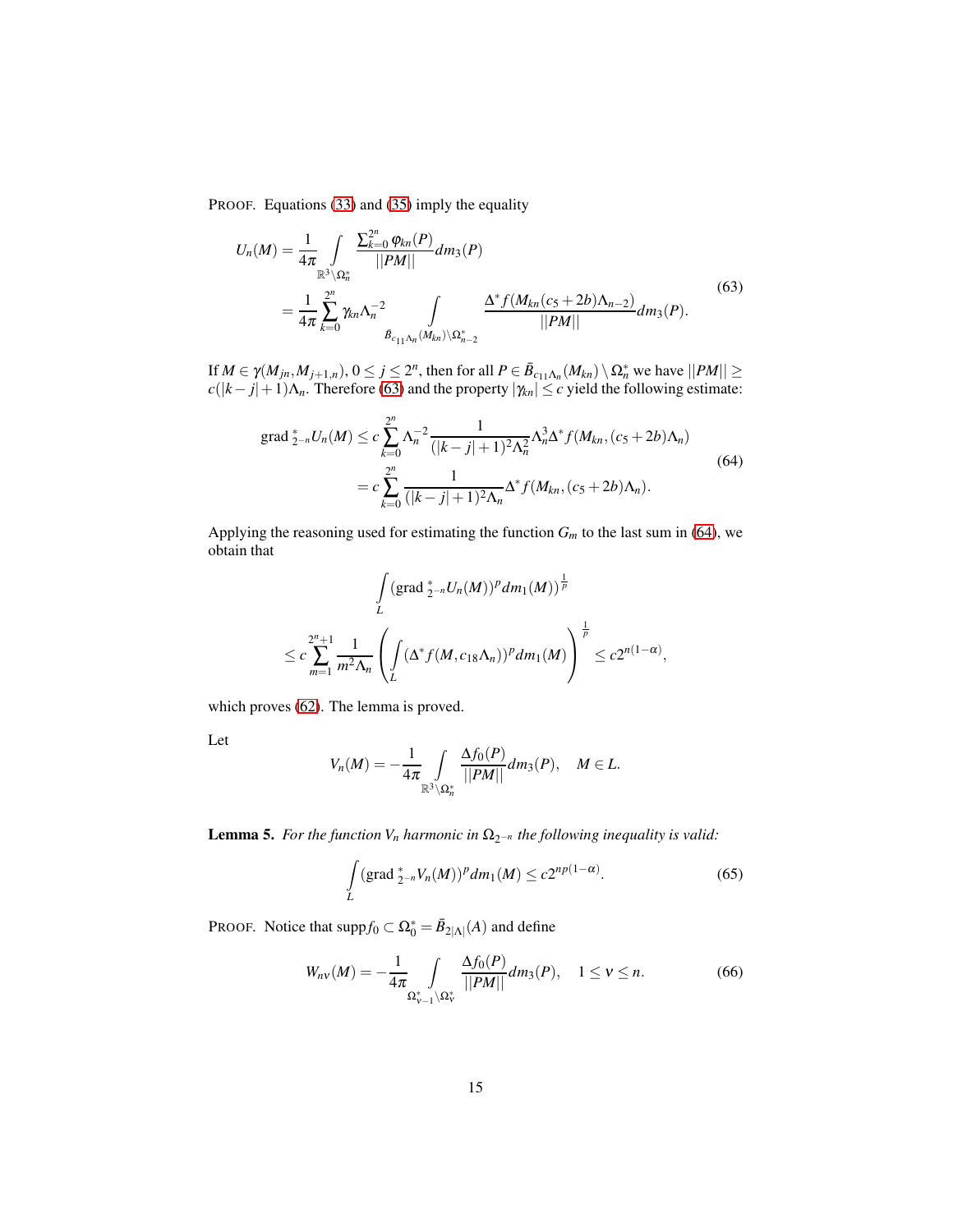PROOF. Equations [\(33\)](#page-8-0) and [\(35\)](#page-8-1) imply the equality

<span id="page-14-0"></span>
$$
U_n(M) = \frac{1}{4\pi} \int_{\mathbb{R}^3 \setminus \Omega_n^*} \frac{\sum_{k=0}^{2^n} \varphi_{kn}(P)}{||PM||} dm_3(P)
$$
  
= 
$$
\frac{1}{4\pi} \sum_{k=0}^{2^n} \gamma_{kn} \Lambda_n^{-2} \int_{\bar{B}_{c_{11}\Lambda_n}(M_{kn}) \setminus \Omega_{n-2}^*} \frac{\Delta^* f(M_{kn}(c_5+2b)\Lambda_{n-2})}{||PM||} dm_3(P).
$$
 (63)

If  $M \in \gamma(M_{jn}, M_{j+1,n})$ ,  $0 \le j \le 2^n$ , then for all  $P \in \bar{B}_{c_{11}\Lambda_n}(M_{kn}) \setminus \Omega_n^*$  we have  $||PM|| \ge$  $c(|k-j|+1)\Lambda_n$ . Therefore [\(63\)](#page-14-0) and the property  $|\gamma_{kn}| \leq c$  yield the following estimate:

<span id="page-14-1"></span>grad 
$$
\zeta_{-n} U_n(M) \leq c \sum_{k=0}^{2^n} \Lambda_n^{-2} \frac{1}{(|k-j|+1)^2 \Lambda_n^2} \Lambda_n^3 \Delta^* f(M_{kn}, (c_5+2b) \Lambda_n)
$$
  
=  $c \sum_{k=0}^{2^n} \frac{1}{(|k-j|+1)^2 \Lambda_n} \Delta^* f(M_{kn}, (c_5+2b) \Lambda_n).$  (64)

Applying the reasoning used for estimating the function  $G_m$  to the last sum in [\(64\)](#page-14-1), we obtain that

$$
\int_{L} (\operatorname{grad} \frac{A}{2-n} U_n(M))^p dm_1(M))^{\frac{1}{p}}
$$
  

$$
\leq c \sum_{m=1}^{2^n+1} \frac{1}{m^2 \Lambda_n} \left( \int_{L} (\Delta^* f(M, c_{18} \Lambda_n))^p dm_1(M) \right)^{\frac{1}{p}} \leq c 2^{n(1-\alpha)},
$$

which proves [\(62\)](#page-13-5). The lemma is proved.

Let

$$
V_n(M)=-\frac{1}{4\pi}\int\limits_{\mathbb{R}^3\setminus\Omega_n^*}\frac{\Delta f_0(P)}{||PM||}dm_3(P),\quad M\in L.
$$

<span id="page-14-4"></span>**Lemma 5.** *For the function V<sub>n</sub> harmonic in*  $\Omega_{2^{-n}}$  *the following inequality is valid:* 

<span id="page-14-3"></span><span id="page-14-2"></span>
$$
\int_{L} (\text{grad }_{2^{-n}} V_n(M))^p dm_1(M) \le c2^{np(1-\alpha)}.
$$
\n(65)

PROOF. Notice that  $\text{supp} f_0 \subset \Omega_0^* = \bar{B}_{2|\Lambda|}(A)$  and define

$$
W_{n\nu}(M) = -\frac{1}{4\pi} \int_{\Omega_{\nu-1}^* \backslash \Omega_{\nu}^*} \frac{\Delta f_0(P)}{||PM||} dm_3(P), \quad 1 \le \nu \le n.
$$
 (66)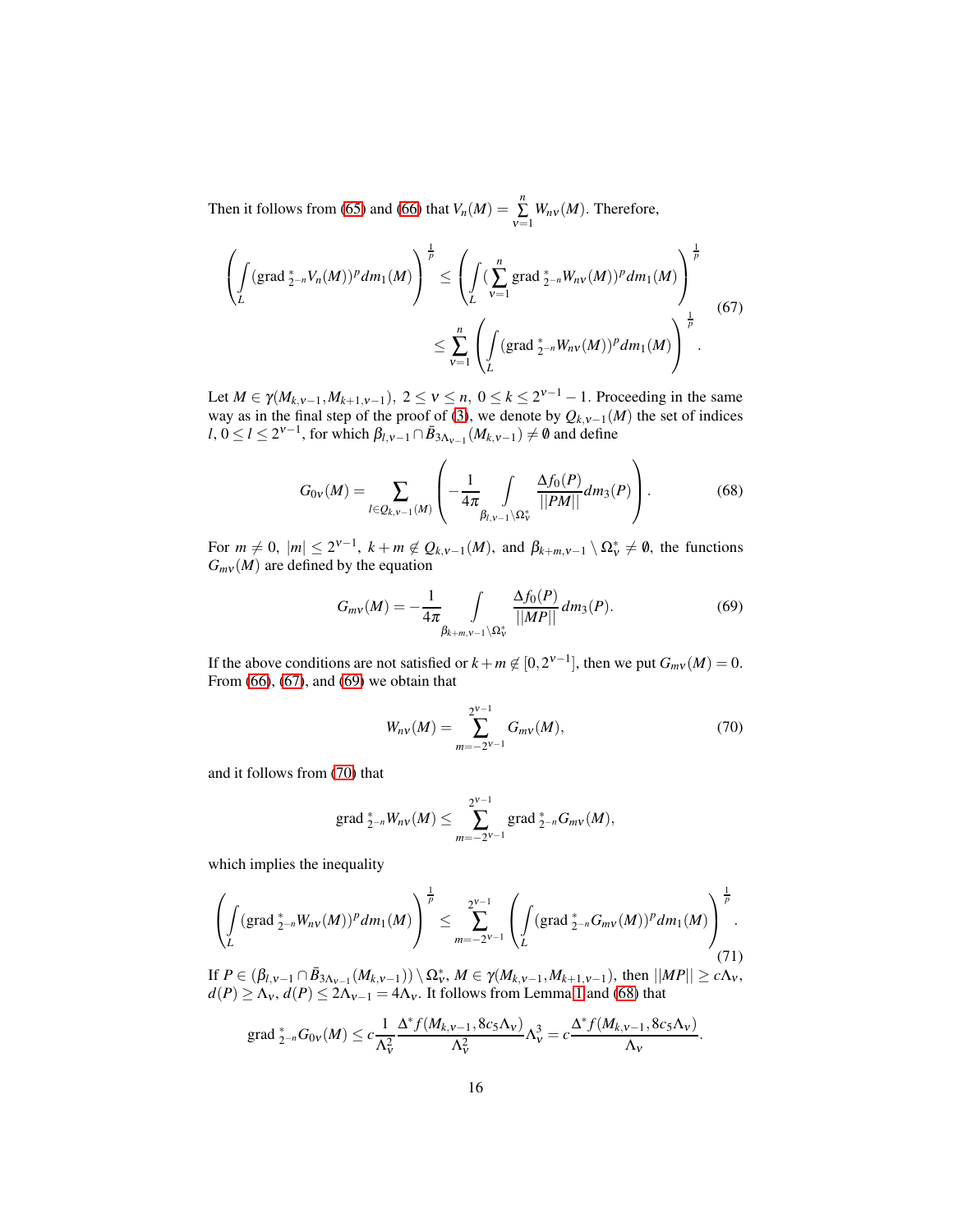Then it follows from [\(65\)](#page-14-2) and [\(66\)](#page-14-3) that  $V_n(M) = \sum_{v=1}^n W_{nv}(M)$ . Therefore,

<span id="page-15-0"></span>
$$
\left(\int_{L} (\text{grad}_{2^{-n}}^{*} V_{n}(M))^{p} dm_{1}(M)\right)^{\frac{1}{p}} \leq \left(\int_{L} (\sum_{\nu=1}^{n} \text{grad}_{2^{-n}}^{*} W_{n\nu}(M))^{p} dm_{1}(M)\right)^{\frac{1}{p}} \leq \sum_{\nu=1}^{n} \left(\int_{L} (\text{grad}_{2^{-n}}^{*} W_{n\nu}(M))^{p} dm_{1}(M)\right)^{\frac{1}{p}}.
$$
\n(67)

Let *M* ∈ γ(*M*<sub>*k*,v−1</sub>,*M*<sub>*k*+1,v−1</sub>), 2 ≤  $v$  ≤ *n*, 0 ≤ *k* ≤ 2<sup>*v*−1</sup> − 1. Proceeding in the same way as in the final step of the proof of [\(3\)](#page-2-3), we denote by  $Q_{k,v-1}(M)$  the set of indices *l*,  $0 \le l \le 2^{\nu-1}$ , for which  $\beta_{l,v-1} \cap \bar{B}_{3\Lambda_{v-1}}(M_{k,v-1}) \neq \emptyset$  and define

$$
G_{0v}(M) = \sum_{l \in Q_{k,v-1}(M)} \left( -\frac{1}{4\pi} \int_{\beta_{l,v-1} \setminus \Omega^*_{v}} \frac{\Delta f_0(P)}{||PM||} dm_3(P) \right).
$$
 (68)

For  $m \neq 0$ ,  $|m| \leq 2^{\nu-1}$ ,  $k+m \notin Q_{k,\nu-1}(M)$ , and  $\beta_{k+m,\nu-1} \setminus \Omega_{\nu}^* \neq \emptyset$ , the functions  $G_{mv}(M)$  are defined by the equation

<span id="page-15-3"></span><span id="page-15-1"></span>
$$
G_{mv}(M) = -\frac{1}{4\pi} \int\limits_{\beta_{k+m,v-1} \backslash \Omega^*_{v}} \frac{\Delta f_0(P)}{||MP||} dm_3(P).
$$
 (69)

If the above conditions are not satisfied or  $k + m \notin [0, 2^{\nu-1}]$ , then we put  $G_{m\nu}(M) = 0$ . From [\(66\)](#page-14-3), [\(67\)](#page-15-0), and [\(69\)](#page-15-1) we obtain that

<span id="page-15-2"></span>
$$
W_{nv}(M) = \sum_{m=-2^{V-1}}^{2^{V-1}} G_{mv}(M),
$$
\n(70)

and it follows from [\(70\)](#page-15-2) that

<span id="page-15-4"></span>grad 
$$
\frac{*}{2}N_{n}W_{n}M
$$
  $\leq \sum_{m=-2^{v-1}}^{2^{v-1}} \text{grad } \frac{*}{2}N_{n}G_{m}M$ 

which implies the inequality

$$
\left(\int_{L} (\text{grad }_{2^{-n}}^{*} W_{nV}(M))^{p} dm_{1}(M)\right)^{\frac{1}{p}} \leq \sum_{m=-2^{V-1}}^{2^{V-1}} \left(\int_{L} (\text{grad }_{2^{-n}}^{*} G_{mV}(M))^{p} dm_{1}(M)\right)^{\frac{1}{p}}.
$$
\n(71)

If  $P ∈ (\beta_{l,v-1} ∩ \bar{B}_{3\Lambda_{v-1}}(M_{k,v-1})) \setminus Ω_v^*$ ,  $M ∈ \gamma(M_{k,v-1}, M_{k+1,v-1})$ , then  $||MP|| ≥ cΛ_v$ ,  $d(P) \ge \Lambda_V$ ,  $d(P) \le 2\Lambda_{V-1} = 4\Lambda_V$ . It follows from Lemma [1](#page-4-4) and [\(68\)](#page-15-3) that

$$
\operatorname{grad} \frac*{2^{-n}}{2} G_{0V}(M) \leq c \frac{1}{\Lambda_V^2} \frac{\Delta^* f(M_{k,v-1}, 8c_5 \Lambda_V)}{\Lambda_V^2} \Lambda_V^3 = c \frac{\Delta^* f(M_{k,v-1}, 8c_5 \Lambda_V)}{\Lambda_V}.
$$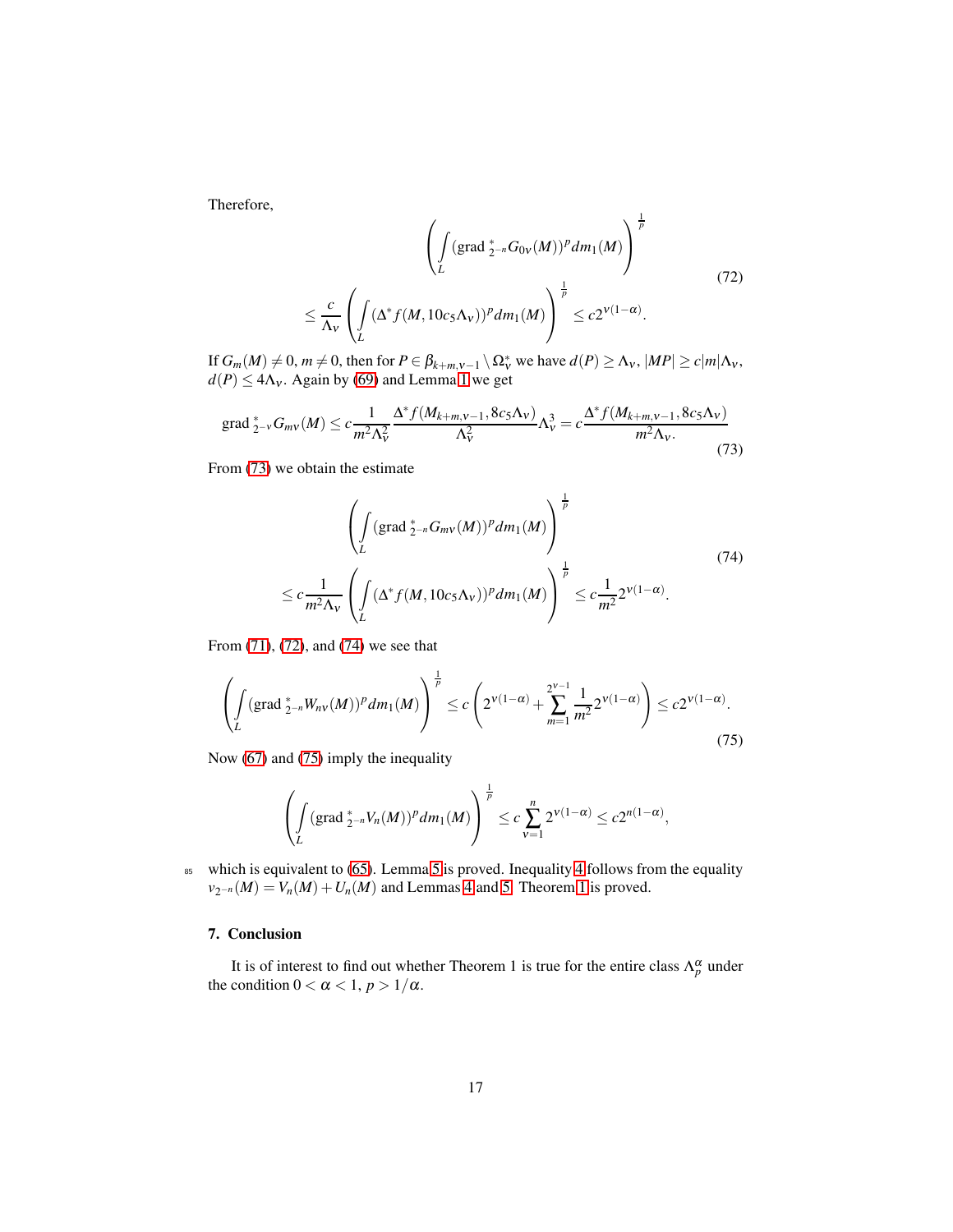Therefore,

<span id="page-16-2"></span>
$$
\left(\int_{L} (\operatorname{grad}^*_{2^{-n}} G_{0V}(M))^p dm_1(M)\right)^{\frac{1}{p}}\n\leq \frac{c}{\Lambda_V} \left(\int_{L} (\Delta^* f(M, 10c_5 \Lambda_V))^p dm_1(M)\right)^{\frac{1}{p}} \leq c2^{V(1-\alpha)}.
$$
\n(72)

If  $G_m(M) \neq 0$ ,  $m \neq 0$ , then for  $P \in \beta_{k+m,\nu-1} \setminus \Omega_{\nu}^*$  we have  $d(P) \geq \Lambda_{\nu}$ ,  $|MP| \geq c|m|\Lambda_{\nu}$ ,  $d(P) \leq 4\Lambda_v$ . Again by [\(69\)](#page-15-1) and Lemma [1](#page-4-4) we get

grad 
$$
\frac{*}{2}V G_{mv}(M) \le c \frac{1}{m^2 \Lambda_v^2} \frac{\Delta^* f(M_{k+m,v-1}, 8c_5 \Lambda_V)}{\Lambda_v^2} \Lambda_v^3 = c \frac{\Delta^* f(M_{k+m,v-1}, 8c_5 \Lambda_V)}{m^2 \Lambda_v} \tag{73}
$$

From [\(73\)](#page-16-1) we obtain the estimate

<span id="page-16-3"></span><span id="page-16-1"></span>
$$
\left(\int_{L} (\operatorname{grad}^*_{2^{-n}} G_{m\nu}(M))^p dm_1(M)\right)^{\frac{1}{p}}\n\leq c \frac{1}{m^2 \Lambda_{\nu}} \left(\int_{L} (\Delta^* f(M, 10c_5 \Lambda_{\nu}))^p dm_1(M)\right)^{\frac{1}{p}}\n\leq c \frac{1}{m^2} 2^{\nu(1-\alpha)}.
$$
\n(74)

From [\(71\)](#page-15-4), [\(72\)](#page-16-2), and [\(74\)](#page-16-3) we see that

$$
\left(\int_{L} (\operatorname{grad}^*_{2^{-n}} W_{n\nu}(M))^p dm_1(M)\right)^{\frac{1}{p}} \le c\left(2^{\nu(1-\alpha)} + \sum_{m=1}^{2^{\nu-1}} \frac{1}{m^2} 2^{\nu(1-\alpha)}\right) \le c2^{\nu(1-\alpha)}.
$$
\n(75)

Now [\(67\)](#page-15-0) and [\(75\)](#page-16-4) imply the inequality

<span id="page-16-4"></span>
$$
\left(\int_{L} (\text{grad }_{2^{-n}}^{*} V_{n}(M))^{p} dm_{1}(M)\right)^{\frac{1}{p}} \leq c \sum_{\nu=1}^{n} 2^{\nu(1-\alpha)} \leq c 2^{n(1-\alpha)},
$$

85 which is equivalent to [\(65\)](#page-14-2). Lemma [5](#page-14-4) is proved. Inequality [4](#page-2-4) follows from the equality  $v_{2^{-n}}(M) = V_n(M) + U_n(M)$  and Lemmas [4](#page-2-4) and [5.](#page-3-2) Theorem [1](#page-2-1) is proved.

# <span id="page-16-0"></span>7. Conclusion

It is of interest to find out whether Theorem 1 is true for the entire class  $\Lambda_p^{\alpha}$  under the condition  $0 < \alpha < 1$ ,  $p > 1/\alpha$ .